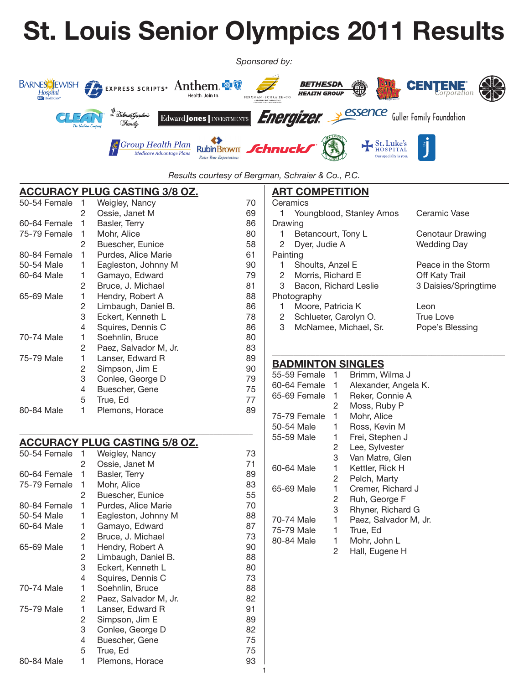# **St. Louis Senior Olympics 2011 Results**



*Results courtesy of Bergman, Schraier & Co., P.C.*

# **Accuracy Plug Casting 3/8 oz.**

| 50-54 Female | 1 | Weigley, Nancy        | 70 |
|--------------|---|-----------------------|----|
|              | 2 | Ossie, Janet M        | 69 |
| 60-64 Female | 1 | Basler, Terry         | 86 |
| 75-79 Female | 1 | Mohr, Alice           | 80 |
|              | 2 | Buescher, Eunice      | 58 |
| 80-84 Female | 1 | Purdes, Alice Marie   | 61 |
| 50-54 Male   | 1 | Eagleston, Johnny M   | 90 |
| 60-64 Male   | 1 | Gamayo, Edward        | 79 |
|              | 2 | Bruce, J. Michael     | 81 |
| 65-69 Male   | 1 | Hendry, Robert A      | 88 |
|              | 2 | Limbaugh, Daniel B.   | 86 |
|              | 3 | Eckert, Kenneth L     | 78 |
|              | 4 | Squires, Dennis C     | 86 |
| 70-74 Male   | 1 | Soehnlin, Bruce       | 80 |
|              | 2 | Paez, Salvador M, Jr. | 83 |
| 75-79 Male   | 1 | Lanser, Edward R      | 89 |
|              | 2 | Simpson, Jim E        | 90 |
|              | 3 | Conlee, George D      | 79 |
|              | 4 | Buescher, Gene        | 75 |
|              | 5 | True, Ed              | 77 |
| 80-84 Male   | 1 | Plemons, Horace       | 89 |

#### **Accuracy Plug Casting 5/8 oz.**

| 50-54 Female | 1 | Weigley, Nancy        | 73 |
|--------------|---|-----------------------|----|
|              | 2 | Ossie, Janet M        | 71 |
| 60-64 Female | 1 | Basler, Terry         | 89 |
| 75-79 Female | 1 | Mohr, Alice           | 83 |
|              | 2 | Buescher, Eunice      | 55 |
| 80-84 Female | 1 | Purdes, Alice Marie   | 70 |
| 50-54 Male   | 1 | Eagleston, Johnny M   | 88 |
| 60-64 Male   | 1 | Gamayo, Edward        | 87 |
|              | 2 | Bruce, J. Michael     | 73 |
| 65-69 Male   | 1 | Hendry, Robert A      | 90 |
|              | 2 | Limbaugh, Daniel B.   | 88 |
|              | 3 | Eckert, Kenneth L     | 80 |
|              | 4 | Squires, Dennis C     | 73 |
| 70-74 Male   | 1 | Soehnlin, Bruce       | 88 |
|              | 2 | Paez, Salvador M, Jr. | 82 |
| 75-79 Male   | 1 | Lanser, Edward R      | 91 |
|              | 2 | Simpson, Jim E        | 89 |
|              | 3 | Conlee, George D      | 82 |
|              | 4 | Buescher, Gene        | 75 |
|              | 5 | True, Ed              | 75 |
| 80-84 Male   | 1 | Plemons, Horace       | 93 |

\_\_\_\_\_\_\_\_\_\_\_\_\_\_\_\_\_\_\_\_\_\_\_\_\_\_\_\_\_\_\_\_\_\_\_\_\_\_\_\_\_\_\_\_\_\_\_\_\_\_\_\_\_\_

# **ART COMPETITION**

|          | Ceramics                 |                      |
|----------|--------------------------|----------------------|
|          | Youngblood, Stanley Amos | Ceramic Vase         |
| Drawing  |                          |                      |
| 1        | Betancourt, Tony L       | Cenotaur Drawing     |
|          | 2 Dyer, Judie A          | Wedding Day          |
| Painting |                          |                      |
|          | 1 Shoults, Anzel E       | Peace in the Storm   |
|          | 2 Morris, Richard E      | Off Katy Trail       |
| 3        | Bacon, Richard Leslie    | 3 Daisies/Springtime |
|          | Photography              |                      |
| 1        | Moore, Patricia K        | Leon                 |
| $^{2}$   | Schlueter, Carolyn O.    | <b>True Love</b>     |
| 3        | McNamee, Michael, Sr.    | Pope's Blessing      |

\_\_\_\_\_\_\_\_\_\_\_\_\_\_\_\_\_\_\_\_\_\_\_\_\_\_\_\_\_\_\_\_\_\_\_\_\_\_\_\_\_\_\_\_\_\_\_\_\_\_\_\_\_\_

#### **Badminton Singles**

| 55-59 Female | 1 | Brimm, Wilma J        |
|--------------|---|-----------------------|
| 60-64 Female | 1 | Alexander, Angela K.  |
| 65-69 Female | 1 | Reker, Connie A       |
|              | 2 | Moss, Ruby P          |
| 75-79 Female | 1 | Mohr, Alice           |
| 50-54 Male   | 1 | Ross, Kevin M         |
| 55-59 Male   | 1 | Frei, Stephen J       |
|              | 2 | Lee, Sylvester        |
|              | 3 | Van Matre, Glen       |
| 60-64 Male   | 1 | Kettler, Rick H       |
|              | 2 | Pelch, Marty          |
| 65-69 Male   | 1 | Cremer, Richard J     |
|              | 2 | Ruh, George F         |
|              | 3 | Rhyner, Richard G     |
| 70-74 Male   | 1 | Paez, Salvador M, Jr. |
| 75-79 Male   | 1 | True, Ed              |
| 80-84 Male   | 1 | Mohr, John L          |
|              | 2 | Hall, Eugene H        |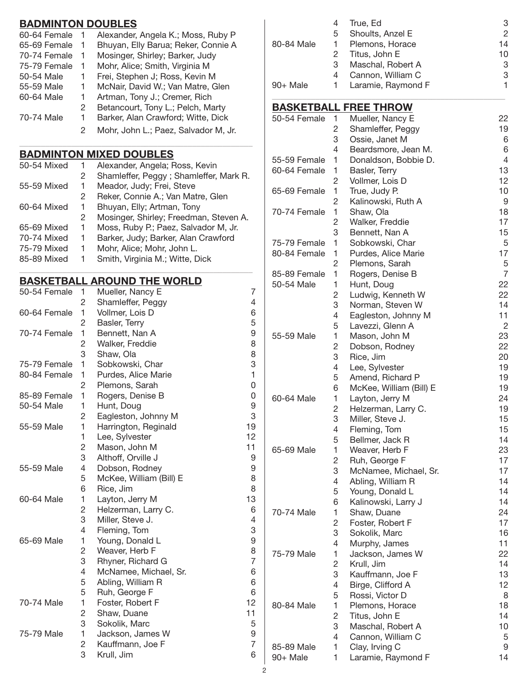# **Badminton Doubles**

|    | BADMIN I UN DUUBLES                  |
|----|--------------------------------------|
|    | Alexander, Angela K.; Moss, Ruby P   |
| 1  | Bhuyan, Elly Barua; Reker, Connie A  |
| 1. | Mosinger, Shirley; Barker, Judy      |
| 1  | Mohr, Alice; Smith, Virginia M       |
| 1  | Frei, Stephen J; Ross, Kevin M       |
| 1  | McNair, David W.; Van Matre, Glen    |
| 1  | Artman, Tony J.; Cremer, Rich        |
| 2  | Betancourt, Tony L.; Pelch, Marty    |
| 1  | Barker, Alan Crawford; Witte, Dick   |
| 2  | Mohr, John L.; Paez, Salvador M, Jr. |
|    |                                      |

# **Badminton Mixed Doubles**

| 50-54 Mixed |   | Alexander, Angela; Ross, Kevin         |
|-------------|---|----------------------------------------|
|             | 2 | Shamleffer, Peggy; Shamleffer, Mark R. |
| 55-59 Mixed |   | Meador, Judy; Frei, Steve              |
|             | 2 | Reker, Connie A.; Van Matre, Glen      |
| 60-64 Mixed | 1 | Bhuyan, Elly; Artman, Tony             |
|             | 2 | Mosinger, Shirley; Freedman, Steven A. |
| 65-69 Mixed | 1 | Moss, Ruby P.; Paez, Salvador M, Jr.   |
| 70-74 Mixed | 1 | Barker, Judy; Barker, Alan Crawford    |
| 75-79 Mixed | 1 | Mohr, Alice; Mohr, John L.             |
| 85-89 Mixed |   | Smith, Virginia M.; Witte, Dick        |

\_\_\_\_\_\_\_\_\_\_\_\_\_\_\_\_\_\_\_\_\_\_\_\_\_\_\_\_\_\_\_\_\_\_\_\_\_\_\_\_\_\_\_\_\_\_\_\_\_\_\_\_\_\_

\_\_\_\_\_\_\_\_\_\_\_\_\_\_\_\_\_\_\_\_\_\_\_\_\_\_\_\_\_\_\_\_\_\_\_\_\_\_\_\_\_\_\_\_\_\_\_\_\_\_\_\_\_\_

#### **Basketball Around the World**

| 50-54 Female | 1              | Mueller, Nancy E        | 7              |
|--------------|----------------|-------------------------|----------------|
|              | $\overline{c}$ | Shamleffer, Peggy       | 4              |
| 60-64 Female | 1              | Vollmer, Lois D         | 6              |
|              | 2              | Basler, Terry           | 5              |
| 70-74 Female | 1              | Bennett, Nan A          | 9              |
|              | 2              | Walker, Freddie         | 8              |
|              | 3              | Shaw, Ola               | 8              |
| 75-79 Female | 1              | Sobkowski, Char         | 3              |
| 80-84 Female | 1              | Purdes, Alice Marie     | 1              |
|              | 2              | Plemons, Sarah          | 0              |
| 85-89 Female | 1              | Rogers, Denise B        | 0              |
| 50-54 Male   | 1              | Hunt, Doug              | 9              |
|              | 2              | Eagleston, Johnny M     | 3              |
| 55-59 Male   | 1              | Harrington, Reginald    | 19             |
|              | 1              | Lee, Sylvester          | 12             |
|              | $\overline{c}$ | Mason, John M           | 11             |
|              | 3              | Althoff, Orville J      | 9              |
| 55-59 Male   | 4              | Dobson, Rodney          | 9              |
|              | 5              | McKee, William (Bill) E | 8              |
|              | 6              | Rice, Jim               | 8              |
| 60-64 Male   | 1              | Layton, Jerry M         | 13             |
|              | $\overline{c}$ | Helzerman, Larry C.     | 6              |
|              | 3              | Miller, Steve J.        | 4              |
|              | 4              | Fleming, Tom            | 3              |
| 65-69 Male   | 1              | Young, Donald L         | 9              |
|              | $\overline{c}$ | Weaver, Herb F          | 8              |
|              | 3              | Rhyner, Richard G       | $\overline{7}$ |
|              | 4              | McNamee, Michael, Sr.   | 6              |
|              | 5              | Abling, William R       | 6              |
|              | 5              | Ruh, George F           | 6              |
| 70-74 Male   | 1              | Foster, Robert F        | 12             |
|              | $\overline{c}$ | Shaw, Duane             | 11             |
|              | 3              | Sokolik, Marc           | 5              |
| 75-79 Male   | 1              | Jackson, James W        | 9              |
|              | $\overline{c}$ | Kauffmann, Joe F        | $\overline{7}$ |
|              | 3              | Krull, Jim              | 6              |

| 80-84 Male   | 4<br>5<br>1<br>2<br>3<br>4 | True, Ed<br>Shoults, Anzel E<br>Plemons, Horace<br>Titus, John E<br>Maschal, Robert A<br>Cannon, William C | 3<br>$\overline{c}$<br>14<br>10<br>3<br>3<br>1 |
|--------------|----------------------------|------------------------------------------------------------------------------------------------------------|------------------------------------------------|
| 90+ Male     | 1                          | Laramie, Raymond F                                                                                         |                                                |
|              |                            | <b>BASKETBALL FREE THROW</b>                                                                               |                                                |
| 50-54 Female | 1<br>2                     | Mueller, Nancy E                                                                                           | 22                                             |
|              | 3                          | Shamleffer, Peggy<br>Ossie, Janet M                                                                        | 19<br>6                                        |
|              | 4                          | Beardsmore, Jean M.                                                                                        | 6                                              |
| 55-59 Female | 1                          | Donaldson, Bobbie D.                                                                                       | 4                                              |
| 60-64 Female | 1                          | Basler, Terry                                                                                              | 13                                             |
|              | 2                          | Vollmer, Lois D                                                                                            | 12                                             |
| 65-69 Female | 1                          | True, Judy P.                                                                                              | 10                                             |
|              | $\overline{2}$             | Kalinowski, Ruth A                                                                                         | 9                                              |
| 70-74 Female | 1<br>$\overline{c}$        | Shaw, Ola<br>Walker, Freddie                                                                               | 18<br>17                                       |
|              | 3                          | Bennett, Nan A                                                                                             | 15                                             |
| 75-79 Female | 1                          | Sobkowski, Char                                                                                            | 5                                              |
| 80-84 Female | 1                          | Purdes, Alice Marie                                                                                        | 17                                             |
|              | $\overline{2}$             | Plemons, Sarah                                                                                             | 5                                              |
| 85-89 Female | 1                          | Rogers, Denise B                                                                                           | $\overline{7}$                                 |
| 50-54 Male   | 1                          | Hunt, Doug                                                                                                 | 22                                             |
|              | 2                          | Ludwig, Kenneth W                                                                                          | 22                                             |
|              | 3<br>4                     | Norman, Steven W<br>Eagleston, Johnny M                                                                    | 14<br>11                                       |
|              | 5                          | Lavezzi, Glenn A                                                                                           | 2                                              |
| 55-59 Male   | 1                          | Mason, John M                                                                                              | 23                                             |
|              | 2                          | Dobson, Rodney                                                                                             | 22                                             |
|              | 3                          | Rice, Jim                                                                                                  | 20                                             |
|              | 4                          | Lee, Sylvester                                                                                             | 19                                             |
|              | 5                          | Amend, Richard P                                                                                           | 19                                             |
|              | 6<br>1                     | McKee, William (Bill) E                                                                                    | 19                                             |
| 60-64 Male   | 2                          | Layton, Jerry M<br>Helzerman, Larry C.                                                                     | 24<br>19                                       |
|              | 3                          | Miller, Steve J.                                                                                           | 15                                             |
|              | 4                          | Fleming, Tom                                                                                               | 15                                             |
|              | 5                          | Bellmer, Jack R                                                                                            | 14                                             |
| 65-69 Male   | 1                          | Weaver, Herb F                                                                                             | 23                                             |
|              | 2                          | Ruh, George F                                                                                              | 17                                             |
|              | 3                          | McNamee, Michael, Sr.                                                                                      | 17                                             |
|              | 4<br>5                     | Abling, William R<br>Young, Donald L                                                                       | 14<br>14                                       |
|              | 6                          | Kalinowski, Larry J                                                                                        | 14                                             |
| 70-74 Male   | 1                          | Shaw, Duane                                                                                                | 24                                             |
|              | $\overline{c}$             | Foster, Robert F                                                                                           | 17                                             |
|              | 3                          | Sokolik, Marc                                                                                              | 16                                             |
|              | 4                          | Murphy, James                                                                                              | 11                                             |
| 75-79 Male   | 1                          | Jackson, James W                                                                                           | 22                                             |
|              | 2                          | Krull, Jim                                                                                                 | 14                                             |
|              | 3<br>4                     | Kauffmann, Joe F<br>Birge, Clifford A                                                                      | 13<br>12                                       |
|              | 5                          | Rossi, Victor D                                                                                            | 8                                              |
| 80-84 Male   | 1                          | Plemons, Horace                                                                                            | 18                                             |
|              | $\overline{c}$             | Titus, John E                                                                                              | 14                                             |
|              | 3                          | Maschal, Robert A                                                                                          | 10                                             |
|              | 4                          | Cannon, William C                                                                                          | 5                                              |
| 85-89 Male   | 1                          | Clay, Irving C                                                                                             | 9                                              |
| 90+ Male     | 1                          | Laramie, Raymond F                                                                                         | 14                                             |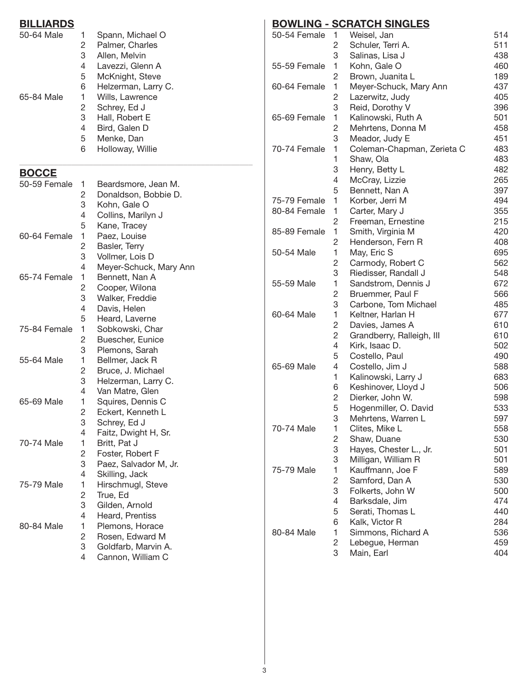| <b>BILLIARDS</b> |                     |                                                      | <b>BOWLING -</b> |
|------------------|---------------------|------------------------------------------------------|------------------|
| 50-64 Male       | 1<br>2<br>3         | Spann, Michael O<br>Palmer, Charles<br>Allen, Melvin | 50-54 Female     |
|                  | 4<br>5              | Lavezzi, Glenn A<br>McKnight, Steve                  | 55-59 Female     |
|                  | 6                   | Helzerman, Larry C.                                  | 60-64 Female     |
| 65-84 Male       | 1<br>$\overline{c}$ | Wills, Lawrence<br>Schrey, Ed J                      |                  |
|                  | 3                   | Hall, Robert E                                       | 65-69 Female     |
|                  | 4                   | Bird, Galen D                                        |                  |
|                  | 5                   | Menke, Dan                                           |                  |
|                  | 6                   | Holloway, Willie                                     | 70-74 Female     |
| <b>BOCCE</b>     |                     |                                                      |                  |
| 50-59 Female     | 1                   | Beardsmore, Jean M.                                  |                  |
|                  | $\overline{c}$<br>3 | Donaldson, Bobbie D.<br>Kohn, Gale O                 | 75-79 Female     |
|                  | 4                   | Collins, Marilyn J                                   | 80-84 Female     |
|                  | 5                   | Kane, Tracey                                         |                  |
| 60-64 Female     | 1                   | Paez, Louise                                         | 85-89 Female     |
|                  | $\sqrt{2}$          | Basler, Terry                                        |                  |
|                  | 3                   | Vollmer, Lois D                                      | 50-54 Male       |
|                  | 4                   | Meyer-Schuck, Mary Ann                               |                  |
| 65-74 Female     | 1                   | Bennett, Nan A                                       | 55-59 Male       |
|                  | $\sqrt{2}$          | Cooper, Wilona                                       |                  |
|                  | 3                   | Walker, Freddie                                      |                  |
|                  | 4<br>5              | Davis, Helen<br>Heard, Laverne                       | 60-64 Male       |
| 75-84 Female     | 1                   | Sobkowski, Char                                      |                  |
|                  | $\overline{c}$      | Buescher, Eunice                                     |                  |
|                  | 3                   | Plemons, Sarah                                       |                  |
| 55-64 Male       | 1                   | Bellmer, Jack R                                      |                  |
|                  | $\sqrt{2}$          | Bruce, J. Michael                                    | 65-69 Male       |
|                  | 3                   | Helzerman, Larry C.                                  |                  |
|                  | $\overline{4}$      | Van Matre, Glen                                      |                  |
| 65-69 Male       | 1                   | Squires, Dennis C                                    |                  |
|                  | $\mathbf{2}$<br>3   | Eckert, Kenneth L                                    |                  |
|                  | 4                   | Schrey, Ed J<br>Faitz, Dwight H, Sr.                 | 70-74 Male       |
| 70-74 Male       | 1                   | Britt, Pat J                                         |                  |
|                  | $\overline{c}$      | Foster, Robert F                                     |                  |
|                  | 3                   | Paez, Salvador M, Jr.                                |                  |
|                  | 4                   | Skilling, Jack                                       | 75-79 Male       |
| 75-79 Male       | 1                   | Hirschmugl, Steve                                    |                  |
|                  | $\sqrt{2}$          | True, Ed                                             |                  |
|                  | 3                   | Gilden, Arnold                                       |                  |
|                  | 4                   | Heard, Prentiss                                      |                  |
| 80-84 Male       | 1                   | Plemons, Horace                                      | 80-84 Male       |
|                  | $\overline{c}$      | Rosen, Edward M                                      |                  |
|                  | 3                   | Goldfarb, Marvin A.                                  |                  |
|                  | 4                   | Cannon, William C                                    |                  |

# **BOWLING - SCRATCH SINGLES**

| 50-54 Female | 1              | Weisel, Jan                | 514 |
|--------------|----------------|----------------------------|-----|
|              | $\overline{c}$ | Schuler, Terri A.          | 511 |
|              | 3              | Salinas, Lisa J            | 438 |
| 55-59 Female | 1              | Kohn, Gale O               | 460 |
|              | $\overline{c}$ | Brown, Juanita L           | 189 |
| 60-64 Female | 1              | Meyer-Schuck, Mary Ann     | 437 |
|              | $\overline{c}$ | Lazerwitz, Judy            | 405 |
|              | 3              | Reid, Dorothy V            | 396 |
| 65-69 Female | 1              | Kalinowski, Ruth A         | 501 |
|              | $\overline{c}$ | Mehrtens, Donna M          | 458 |
|              | 3              | Meador, Judy E             | 451 |
| 70-74 Female | 1              | Coleman-Chapman, Zerieta C | 483 |
|              | 1              | Shaw, Ola                  | 483 |
|              | 3              | Henry, Betty L             | 482 |
|              | 4              | McCray, Lizzie             | 265 |
|              | 5              | Bennett, Nan A             | 397 |
| 75-79 Female | 1              | Korber, Jerri M            | 494 |
| 80-84 Female | 1              | Carter, Mary J             | 355 |
|              | $\overline{c}$ | Freeman, Ernestine         | 215 |
| 85-89 Female | 1              | Smith, Virginia M          | 420 |
|              | $\overline{c}$ | Henderson, Fern R          | 408 |
| 50-54 Male   | 1              | May, Eric S                | 695 |
|              | $\overline{c}$ | Carmody, Robert C          | 562 |
|              | 3              | Riedisser, Randall J       | 548 |
| 55-59 Male   | 1              | Sandstrom, Dennis J        | 672 |
|              | $\overline{c}$ | Bruemmer, Paul F           | 566 |
|              | 3              | Carbone, Tom Michael       | 485 |
| 60-64 Male   | 1              | Keltner, Harlan H          | 677 |
|              | $\overline{c}$ | Davies, James A            | 610 |
|              | $\overline{c}$ | Grandberry, Ralleigh, III  | 610 |
|              | 4              | Kirk, Isaac D.             | 502 |
|              | 5              | Costello, Paul             | 490 |
| 65-69 Male   | 4              | Costello, Jim J            | 588 |
|              | 1              | Kalinowski, Larry J        | 683 |
|              | 6              | Keshinover, Lloyd J        | 506 |
|              | $\mathbf{2}$   | Dierker, John W.           | 598 |
|              | 5              | Hogenmiller, O. David      | 533 |
|              | 3              | Mehrtens, Warren L         | 597 |
| 70-74 Male   | 1              | Clites, Mike L             | 558 |
|              | $\overline{c}$ | Shaw, Duane                | 530 |
|              | 3              | Hayes, Chester L., Jr.     | 501 |
|              | 3              | Milligan, William R        | 501 |
| 75-79 Male   | 1              | Kauffmann, Joe F           | 589 |
|              | $\overline{c}$ | Samford, Dan A             | 530 |
|              | 3              | Folkerts, John W           | 500 |
|              | 4              | Barksdale, Jim             | 474 |
|              | 5              | Serati, Thomas L           | 440 |
|              | 6              | Kalk, Victor R             | 284 |
| 80-84 Male   | 1              | Simmons, Richard A         | 536 |
|              | $\overline{c}$ | Lebegue, Herman            | 459 |
|              | 3              | Main, Earl                 | 404 |
|              |                |                            |     |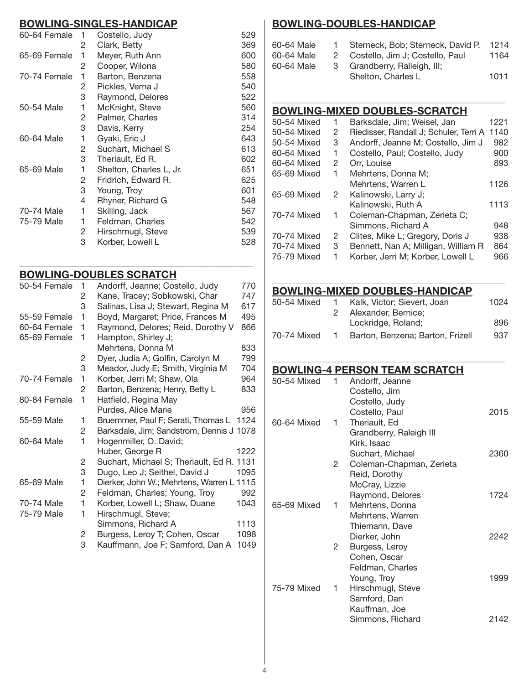#### **BOWLING-SINGLES-HANDICAP**

| 60-64 Female | 1 | Costello, Judy          | 529 |
|--------------|---|-------------------------|-----|
|              | 2 | Clark, Betty            | 369 |
| 65-69 Female | 1 | Meyer, Ruth Ann         | 600 |
|              | 2 | Cooper, Wilona          | 580 |
| 70-74 Female | 1 | Barton, Benzena         | 558 |
|              | 2 | Pickles, Verna J        | 540 |
|              | 3 | Raymond, Delores        | 522 |
| 50-54 Male   | 1 | McKnight, Steve         | 560 |
|              | 2 | Palmer, Charles         | 314 |
|              | 3 | Davis, Kerry            | 254 |
| 60-64 Male   | 1 | Gyaki, Eric J           | 643 |
|              | 2 | Suchart, Michael S      | 613 |
|              | 3 | Theriault, Ed R.        | 602 |
| 65-69 Male   | 1 | Shelton, Charles L, Jr. | 651 |
|              | 2 | Fridrich, Edward R.     | 625 |
|              | 3 | Young, Troy             | 601 |
|              | 4 | Rhyner, Richard G       | 548 |
| 70-74 Male   | 1 | Skilling, Jack          | 567 |
| 75-79 Male   | 1 | Feldman, Charles        | 542 |
|              | 2 | Hirschmugl, Steve       | 539 |
|              | 3 | Korber, Lowell L        | 528 |

\_\_\_\_\_\_\_\_\_\_\_\_\_\_\_\_\_\_\_\_\_\_\_\_\_\_\_\_\_\_\_\_\_\_\_\_\_\_\_\_\_\_\_\_\_\_\_\_\_\_\_\_\_\_

#### **BOWLING-DOUBLES SCRATCH**

| 50-54 Female | 1 | Andorff, Jeanne; Costello, Judy           | 770  |
|--------------|---|-------------------------------------------|------|
|              | 2 | Kane, Tracey; Sobkowski, Char             | 747  |
|              | 3 | Salinas, Lisa J; Stewart, Regina M        | 617  |
| 55-59 Female | 1 | Boyd, Margaret; Price, Frances M          | 495  |
| 60-64 Female | 1 | Raymond, Delores; Reid, Dorothy V         | 866  |
| 65-69 Female | 1 | Hampton, Shirley J;                       |      |
|              |   | Mehrtens, Donna M                         | 833  |
|              | 2 | Dyer, Judia A; Golfin, Carolyn M          | 799  |
|              | 3 | Meador, Judy E; Smith, Virginia M         | 704  |
| 70-74 Female | 1 | Korber, Jerri M; Shaw, Ola                | 964  |
|              | 2 | Barton, Benzena; Henry, Betty L           | 833  |
| 80-84 Female | 1 | Hatfield, Regina May                      |      |
|              |   | Purdes, Alice Marie                       | 956  |
| 55-59 Male   | 1 | Bruemmer, Paul F; Serati, Thomas L 1124   |      |
|              | 2 | Barksdale, Jim; Sandstrom, Dennis J 1078  |      |
| 60-64 Male   | 1 | Hogenmiller, O. David;                    |      |
|              |   | Huber, George R                           | 1222 |
|              | 2 | Suchart, Michael S; Theriault, Ed R. 1131 |      |
|              | 3 | Dugo, Leo J; Seithel, David J             | 1095 |
| 65-69 Male   | 1 | Dierker, John W.; Mehrtens, Warren L 1115 |      |
|              | 2 | Feldman, Charles; Young, Troy             | 992  |
| 70-74 Male   | 1 | Korber, Lowell L; Shaw, Duane             | 1043 |
| 75-79 Male   | 1 | Hirschmugl, Steve;                        |      |
|              |   | Simmons, Richard A                        | 1113 |
|              | 2 | Burgess, Leroy T; Cohen, Oscar            | 1098 |
|              |   |                                           |      |

#### 3 Kauffmann, Joe F; Samford, Dan A 1049

#### **BOWLING-DOUBLES-HandiCAP**

| 60-64 Male |   | Sterneck, Bob; Sterneck, David P. | 1214 |
|------------|---|-----------------------------------|------|
| 60-64 Male |   | 2 Costello, Jim J; Costello, Paul | 1164 |
| 60-64 Male | 3 | Grandberry, Ralleigh, III;        |      |
|            |   | Shelton, Charles L                | 1011 |

\_\_\_\_\_\_\_\_\_\_\_\_\_\_\_\_\_\_\_\_\_\_\_\_\_\_\_\_\_\_\_\_\_\_\_\_\_\_\_\_\_\_\_\_\_\_\_\_\_\_\_\_\_\_

#### **BOWLING-MIXED DOUBLES-scratch**

| 50-54 Mixed | 1 | Barksdale, Jim; Weisel, Jan            | 1221 |
|-------------|---|----------------------------------------|------|
| 50-54 Mixed | 2 | Riedisser, Randall J; Schuler, Terri A | 1140 |
| 50-54 Mixed | 3 | Andorff, Jeanne M; Costello, Jim J     | 982  |
| 60-64 Mixed | 1 | Costello, Paul; Costello, Judy         | 900  |
| 60-64 Mixed | 2 | Orr, Louise                            | 893  |
| 65-69 Mixed | 1 | Mehrtens, Donna M;                     |      |
|             |   | Mehrtens, Warren L                     | 1126 |
| 65-69 Mixed | 2 | Kalinowski, Larry J;                   |      |
|             |   | Kalinowski, Ruth A                     | 1113 |
| 70-74 Mixed | 1 | Coleman-Chapman, Zerieta C;            |      |
|             |   | Simmons, Richard A                     | 948  |
| 70-74 Mixed | 2 | Clites, Mike L; Gregory, Doris J       | 938  |
| 70-74 Mixed | 3 | Bennett, Nan A; Milligan, William R    | 864  |
| 75-79 Mixed |   | Korber, Jerri M; Korber, Lowell L      | 966  |
|             |   |                                        |      |

#### **BOWLING-MIXED DOUBLES-Handicap**

| 50-54 Mixed | 1. | Kalk, Victor; Sievert, Joan      | 1024 |
|-------------|----|----------------------------------|------|
|             |    | Alexander, Bernice;              |      |
|             |    | Lockridge, Roland;               | 896  |
| 70-74 Mixed | 1. | Barton, Benzena; Barton, Frizell | 937  |

\_\_\_\_\_\_\_\_\_\_\_\_\_\_\_\_\_\_\_\_\_\_\_\_\_\_\_\_\_\_\_\_\_\_\_\_\_\_\_\_\_\_\_\_\_\_\_\_\_\_\_\_\_\_

\_\_\_\_\_\_\_\_\_\_\_\_\_\_\_\_\_\_\_\_\_\_\_\_\_\_\_\_\_\_\_\_\_\_\_\_\_\_\_\_\_\_\_\_\_\_\_\_\_\_\_\_\_\_

#### **BOWLING-4 PERSON TEAM SCRATCH**

| 50-54 Mixed | 1 | Andorff, Jeanne          |       |
|-------------|---|--------------------------|-------|
|             |   | Costello, Jim            |       |
|             |   | Costello, Judy           |       |
|             |   | Costello, Paul           | 2015  |
| 60-64 Mixed | 1 | Theriault, Ed            |       |
|             |   | Grandberry, Raleigh III  |       |
|             |   | Kirk, Isaac              |       |
|             |   | Suchart, Michael         | 2360  |
|             | 2 | Coleman-Chapman, Zerieta |       |
|             |   | Reid, Dorothy            |       |
|             |   | McCray, Lizzie           |       |
|             |   | Raymond, Delores         | 1724  |
| 65-69 Mixed | 1 | Mehrtens, Donna          |       |
|             |   | Mehrtens, Warren         |       |
|             |   | Thiemann, Dave           |       |
|             |   | Dierker, John            | 2242  |
|             | 2 | Burgess, Leroy           |       |
|             |   | Cohen, Oscar             |       |
|             |   | Feldman, Charles         |       |
|             |   | Young, Troy              | 1999  |
| 75-79 Mixed | 1 | Hirschmugl, Steve        |       |
|             |   | Samford, Dan             |       |
|             |   | Kauffman, Joe            |       |
|             |   | Simmons, Richard         | 2142. |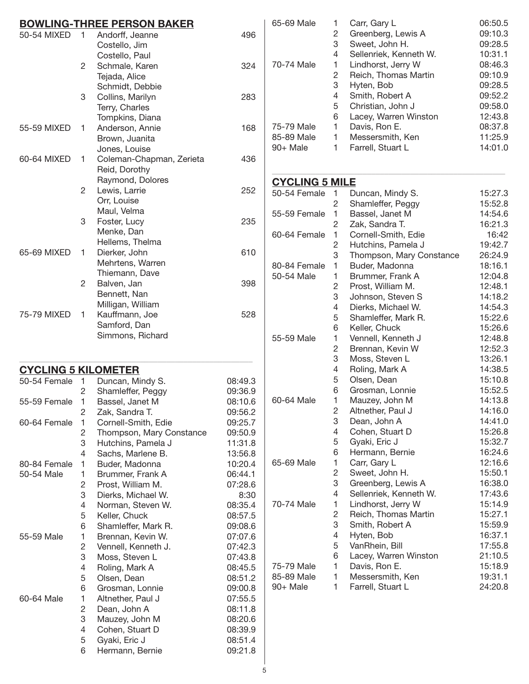|                            |                | <b>BOWLING-THREE PERSON BAKER</b> |         | 65-69 Male            | 1              | Carr, Gary L             | 06:50.  |
|----------------------------|----------------|-----------------------------------|---------|-----------------------|----------------|--------------------------|---------|
| 50-54 MIXED 1              |                | Andorff, Jeanne                   | 496     |                       | $\overline{c}$ | Greenberg, Lewis A       | 09:10.  |
|                            |                | Costello, Jim                     |         |                       | 3              | Sweet, John H.           | 09:28.  |
|                            |                | Costello, Paul                    |         |                       | 4              | Sellenriek, Kenneth W.   | 10:31.  |
|                            | $\overline{2}$ | Schmale, Karen                    | 324     | 70-74 Male            | 1              | Lindhorst, Jerry W       | 08:46.  |
|                            |                |                                   |         |                       | $\overline{c}$ | Reich, Thomas Martin     | 09:10.  |
|                            |                | Tejada, Alice                     |         |                       | 3              | Hyten, Bob               | 09:28.  |
|                            |                | Schmidt, Debbie                   |         |                       | 4              | Smith, Robert A          | 09:52.  |
|                            | 3              | Collins, Marilyn                  | 283     |                       | 5              | Christian, John J        | 09:58.  |
|                            |                | Terry, Charles                    |         |                       | 6              | Lacey, Warren Winston    | 12:43.8 |
|                            |                | Tompkins, Diana                   |         | 75-79 Male            | 1              | Davis, Ron E.            | 08:37.  |
| 55-59 MIXED                | 1.             | Anderson, Annie                   | 168     | 85-89 Male            | 1              | Messersmith, Ken         | 11:25.  |
|                            |                | Brown, Juanita                    |         | 90+ Male              | 1.             | Farrell, Stuart L        | 14:01.0 |
|                            |                | Jones, Louise                     |         |                       |                |                          |         |
| 60-64 MIXED                | 1.             | Coleman-Chapman, Zerieta          | 436     |                       |                |                          |         |
|                            |                | Reid, Dorothy                     |         |                       |                |                          |         |
|                            | $\overline{2}$ | Raymond, Dolores<br>Lewis, Larrie | 252     | <b>CYCLING 5 MILE</b> |                |                          |         |
|                            |                |                                   |         | 50-54 Female          | $\overline{1}$ | Duncan, Mindy S.         | 15:27.  |
|                            |                | Orr, Louise                       |         |                       | 2              | Shamleffer, Peggy        | 15:52.  |
|                            | 3              | Maul, Velma                       |         | 55-59 Female          | $\mathbf{1}$   | Bassel, Janet M          | 14:54.  |
|                            |                | Foster, Lucy                      | 235     |                       | 2              | Zak, Sandra T.           | 16:21.  |
|                            |                | Menke, Dan                        |         | 60-64 Female          | $\mathbf{1}$   | Cornell-Smith, Edie      | 16:42   |
|                            |                | Hellems, Thelma                   |         |                       | 2              | Hutchins, Pamela J       | 19:42.  |
| 65-69 MIXED                | $\mathbf{1}$   | Dierker, John                     | 610     |                       | 3              | Thompson, Mary Constance | 26:24.  |
|                            |                | Mehrtens, Warren                  |         | 80-84 Female          | 1              | Buder, Madonna           | 18:16.  |
|                            |                | Thiemann, Dave                    |         | 50-54 Male            | 1              | Brummer, Frank A         | 12:04.8 |
|                            | $\overline{2}$ | Balven, Jan                       | 398     |                       | $\overline{c}$ | Prost, William M.        | 12:48.  |
|                            |                | Bennett, Nan                      |         |                       | 3              | Johnson, Steven S        | 14:18.  |
| 75-79 MIXED                |                | Milligan, William                 | 528     |                       | 4              | Dierks, Michael W.       | 14:54.  |
|                            | 1.             | Kauffmann, Joe                    |         |                       | 5              | Shamleffer, Mark R.      | 15:22.0 |
|                            |                | Samford, Dan                      |         |                       | 6              | Keller, Chuck            | 15:26.  |
|                            |                | Simmons, Richard                  |         | 55-59 Male            | 1              | Vennell, Kenneth J       | 12:48.  |
|                            |                |                                   |         |                       | 2              | Brennan, Kevin W         | 12:52.  |
|                            |                |                                   |         |                       | 3              | Moss, Steven L           | 13:26.  |
| <b>CYCLING 5 KILOMETER</b> |                |                                   |         |                       | 4              | Roling, Mark A           | 14:38.  |
| 50-54 Female 1             |                | Duncan, Mindy S.                  | 08:49.3 |                       | 5              | Olsen, Dean              | 15:10.  |
|                            | 2              | Shamleffer, Peggy                 | 09:36.9 |                       | 6              | Grosman, Lonnie          | 15:52.  |
| 55-59 Female 1             |                | Bassel, Janet M                   | 08:10.6 | 60-64 Male            |                | Mauzey, John M           | 14:13.  |
|                            | 2              | Zak, Sandra T.                    | 09:56.2 |                       | 2              | Altnether, Paul J        | 14:16.  |
| 60-64 Female               | 1              | Cornell-Smith, Edie               | 09:25.7 |                       | 3              | Dean, John A             | 14:41.  |
|                            | 2              | Thompson, Mary Constance          | 09:50.9 |                       | 4              | Cohen, Stuart D          | 15:26.  |
|                            | 3              | Hutchins, Pamela J                | 11:31.8 |                       | 5              | Gyaki, Eric J            | 15:32.  |
|                            | 4              | Sachs, Marlene B.                 | 13:56.8 |                       | 6              | Hermann, Bernie          | 16:24.  |
| 80-84 Female               | 1              | Buder, Madonna                    | 10:20.4 | 65-69 Male            | 1              | Carr, Gary L             | 12:16.0 |
| 50-54 Male                 | 1              | Brummer, Frank A                  | 06:44.1 |                       | 2              | Sweet, John H.           | 15:50.7 |
|                            | 2              | Prost, William M.                 | 07:28.6 |                       | 3              | Greenberg, Lewis A       | 16:38.  |
|                            | 3              | Dierks, Michael W.                | 8:30    |                       | 4              | Sellenriek, Kenneth W.   | 17:43.0 |
|                            | 4              | Norman, Steven W.                 | 08:35.4 | 70-74 Male            | 1              | Lindhorst, Jerry W       | 15:14.9 |
|                            | 5              | Keller, Chuck                     | 08:57.5 |                       | 2              | Reich, Thomas Martin     | 15:27.  |
|                            | 6              | Shamleffer, Mark R.               | 09:08.6 |                       | 3              | Smith, Robert A          | 15:59.  |
| 55-59 Male                 | 1              | Brennan, Kevin W.                 | 07:07.6 |                       | 4              | Hyten, Bob               | 16:37.  |
|                            | 2              | Vennell, Kenneth J.               | 07:42.3 |                       | 5              | VanRhein, Bill           | 17:55.  |
|                            | 3              | Moss, Steven L                    | 07:43.8 |                       | 6              | Lacey, Warren Winston    | 21:10.  |
|                            | 4              | Roling, Mark A                    | 08:45.5 | 75-79 Male            | 1              | Davis, Ron E.            | 15:18.9 |
|                            | 5              | Olsen, Dean                       | 08:51.2 | 85-89 Male            | 1              | Messersmith, Ken         | 19:31.  |
|                            | 6              | Grosman, Lonnie                   | 09:00.8 | 90+ Male              | 1              | Farrell, Stuart L        | 24:20.8 |
| 60-64 Male                 | 1              | Altnether, Paul J                 | 07:55.5 |                       |                |                          |         |
|                            | 2              | Dean, John A                      | 08:11.8 |                       |                |                          |         |
|                            | 3              | Mauzey, John M                    | 08:20.6 |                       |                |                          |         |
|                            | 4              | Cohen, Stuart D                   | 08:39.9 |                       |                |                          |         |
|                            | 5              | Gyaki, Eric J                     | 08:51.4 |                       |                |                          |         |
|                            | 6              | Hermann, Bernie                   | 09:21.8 |                       |                |                          |         |

| 65-69 Male | 1 | Carr, Gary L           | 06:50.5 |
|------------|---|------------------------|---------|
|            | 2 | Greenberg, Lewis A     | 09:10.3 |
|            | 3 | Sweet, John H.         | 09:28.5 |
|            | 4 | Sellenriek, Kenneth W. | 10:31.1 |
| 70-74 Male | 1 | Lindhorst, Jerry W     | 08:46.3 |
|            | 2 | Reich, Thomas Martin   | 09:10.9 |
|            | 3 | Hyten, Bob             | 09:28.5 |
|            | 4 | Smith, Robert A        | 09:52.2 |
|            | 5 | Christian, John J      | 09:58.0 |
|            | 6 | Lacey, Warren Winston  | 12:43.8 |
| 75-79 Male | 1 | Davis, Ron E.          | 08:37.8 |
| 85-89 Male | 1 | Messersmith, Ken       | 11:25.9 |
| 90+ Male   | 1 | Farrell, Stuart L      | 14:01.0 |
|            |   |                        |         |

# **Cycling 5 Mile**

| 50-54 Female | 1              | Duncan, Mindy S.         | 15:27.3 |
|--------------|----------------|--------------------------|---------|
|              | $\overline{c}$ | Shamleffer, Peggy        | 15:52.8 |
| 55-59 Female | 1              | Bassel, Janet M          | 14:54.6 |
|              | $\overline{c}$ | Zak, Sandra T.           | 16:21.3 |
| 60-64 Female | 1              | Cornell-Smith, Edie      | 16:42   |
|              | $\overline{c}$ | Hutchins, Pamela J       | 19:42.7 |
|              | 3              | Thompson, Mary Constance | 26:24.9 |
| 80-84 Female | 1              | Buder, Madonna           | 18:16.1 |
| 50-54 Male   | 1              | Brummer, Frank A         | 12:04.8 |
|              | $\overline{c}$ | Prost, William M.        | 12:48.1 |
|              | 3              | Johnson, Steven S        | 14:18.2 |
|              | 4              | Dierks, Michael W.       | 14:54.3 |
|              | 5              | Shamleffer, Mark R.      | 15:22.6 |
|              | 6              | Keller, Chuck            | 15:26.6 |
| 55-59 Male   | 1              | Vennell, Kenneth J       | 12:48.8 |
|              | $\overline{c}$ | Brennan, Kevin W         | 12:52.3 |
|              | 3              | Moss, Steven L           | 13:26.1 |
|              | 4              | Roling, Mark A           | 14:38.5 |
|              | 5              | Olsen, Dean              | 15:10.8 |
|              | 6              | Grosman, Lonnie          | 15:52.5 |
| 60-64 Male   | 1              | Mauzey, John M           | 14:13.8 |
|              | $\overline{c}$ | Altnether, Paul J        | 14:16.0 |
|              | 3              | Dean, John A             | 14:41.0 |
|              | 4              | Cohen, Stuart D          | 15:26.8 |
|              | 5              | Gyaki, Eric J            | 15:32.7 |
|              | 6              | Hermann, Bernie          | 16:24.6 |
| 65-69 Male   | 1              | Carr, Gary L             | 12:16.6 |
|              | $\overline{2}$ | Sweet, John H.           | 15:50.1 |
|              | 3              | Greenberg, Lewis A       | 16:38.0 |
|              | 4              | Sellenriek, Kenneth W.   | 17:43.6 |
| 70-74 Male   | 1              | Lindhorst, Jerry W       | 15:14.9 |
|              | $\overline{2}$ | Reich, Thomas Martin     | 15:27.1 |
|              | 3              | Smith, Robert A          | 15:59.9 |
|              | 4              | Hyten, Bob               | 16:37.1 |
|              | 5              | VanRhein, Bill           | 17:55.8 |
|              | 6              | Lacey, Warren Winston    | 21:10.5 |
| 75-79 Male   | 1              | Davis, Ron E.            | 15:18.9 |
| 85-89 Male   | 1              | Messersmith, Ken         | 19:31.1 |
| 90+ Male     | 1              | Farrell, Stuart L        | 24:20.8 |
|              |                |                          |         |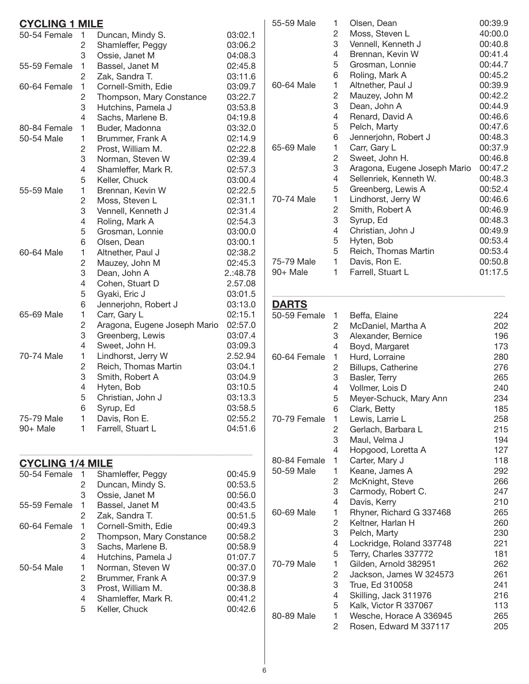| <b>CYCLING 1 MILE</b>   |                |                              |          |
|-------------------------|----------------|------------------------------|----------|
| 50-54 Female            | 1              | Duncan, Mindy S.             | 03:02.1  |
|                         | $\overline{c}$ | Shamleffer, Peggy            | 03:06.2  |
|                         | 3              | Ossie, Janet M               | 04:08.3  |
| 55-59 Female            | 1              | Bassel, Janet M              | 02:45.8  |
|                         | $\overline{c}$ | Zak, Sandra T.               | 03:11.6  |
| 60-64 Female            | 1              | Cornell-Smith, Edie          | 03:09.7  |
|                         | $\overline{c}$ | Thompson, Mary Constance     | 03:22.7  |
|                         | 3              | Hutchins, Pamela J           | 03:53.8  |
|                         | 4              | Sachs, Marlene B.            | 04:19.8  |
| 80-84 Female            | 1              | Buder, Madonna               | 03:32.0  |
| 50-54 Male              | 1              | Brummer, Frank A             | 02:14.9  |
|                         | $\overline{c}$ | Prost, William M.            | 02:22.8  |
|                         | 3              | Norman, Steven W             | 02:39.4  |
|                         | 4              | Shamleffer, Mark R.          | 02:57.3  |
|                         | 5              | Keller, Chuck                | 03:00.4  |
| 55-59 Male              | 1              | Brennan, Kevin W             | 02:22.5  |
|                         | $\overline{c}$ | Moss, Steven L               | 02:31.1  |
|                         | 3              | Vennell, Kenneth J           | 02:31.4  |
|                         | 4              | Roling, Mark A               | 02:54.3  |
|                         | 5              | Grosman, Lonnie              | 03:00.0  |
|                         | 6              | Olsen, Dean                  | 03:00.1  |
| 60-64 Male              | 1              | Altnether, Paul J            | 02:38.2  |
|                         | $\overline{c}$ | Mauzey, John M               | 02:45.3  |
|                         | 3              | Dean, John A                 | 2.:48.78 |
|                         | 4              | Cohen, Stuart D              | 2.57.08  |
|                         | 5              | Gyaki, Eric J                | 03:01.5  |
|                         | 6              | Jennerjohn, Robert J         | 03:13.0  |
| 65-69 Male              | 1              | Carr, Gary L                 | 02:15.1  |
|                         | $\overline{c}$ | Aragona, Eugene Joseph Mario | 02:57.0  |
|                         | 3              | Greenberg, Lewis             | 03:07.4  |
|                         | 4              | Sweet, John H.               | 03:09.3  |
| 70-74 Male              | 1              | Lindhorst, Jerry W           | 2.52.94  |
|                         | $\overline{c}$ | Reich, Thomas Martin         | 03:04.1  |
|                         | 3              | Smith, Robert A              | 03:04.9  |
|                         | 4              | Hyten, Bob                   | 03:10.5  |
|                         | 5              | Christian, John J            | 03:13.3  |
|                         | 6              | Syrup, Ed                    | 03:58.5  |
| 75-79 Male              | 1              | Davis, Ron E.                | 02:55.2  |
| 90+ Male                | 1              | Farrell, Stuart L            | 04:51.6  |
|                         |                |                              |          |
| <b>CYCLING 1/4 MILE</b> |                |                              |          |
| 50-54 Female            | 1              | Shamleffer, Peggy            | 00:45.9  |
|                         | 2              | Duncan, Mindy S.             | 00:53.5  |
|                         | 3              | Ossie, Janet M               | 00:56.0  |
| 55-59 Female            | 1              | Bassel, Janet M              | 00:43.5  |
|                         | 2              | Zak, Sandra T.               | 00:51.5  |
| 60-64 Female            | 1              | Cornell-Smith, Edie          | 00:49.3  |
|                         | 2              | Thompson, Mary Constance     | 00:58.2  |
|                         | 3              | Sachs, Marlene B.            | 00:58.9  |
|                         | 4              | Hutchins, Pamela J           | 01:07.7  |
| 50-54 Male              | 1              | Norman, Steven W             | 00:37.0  |
|                         | 2              | Brummer, Frank A             | 00:37.9  |
|                         | 3              | Prost, William M.            | 00:38.8  |
|                         | 4              | Shamleffer, Mark R.          | 00:41.2  |
|                         | 5              | Keller, Chuck                | 00:42.6  |
|                         |                |                              |          |

| 55-59 Male   | 1 | Olsen, Dean                  | 00:39.9 |
|--------------|---|------------------------------|---------|
|              | 2 | Moss, Steven L               | 40:00.0 |
|              | 3 | Vennell, Kenneth J           | 00:40.8 |
|              | 4 | Brennan, Kevin W             | 00:41.4 |
|              | 5 | Grosman, Lonnie              | 00:44.7 |
|              | 6 | Roling, Mark A               | 00:45.2 |
| 60-64 Male   | 1 | Altnether, Paul J            | 00:39.9 |
|              | 2 | Mauzey, John M               | 00:42.2 |
|              | 3 | Dean, John A                 | 00:44.9 |
|              | 4 | Renard, David A              | 00:46.6 |
|              | 5 | Pelch, Marty                 | 00:47.6 |
|              | 6 | Jennerjohn, Robert J         | 00:48.3 |
| 65-69 Male   | 1 | Carr, Gary L                 | 00:37.9 |
|              | 2 | Sweet, John H.               | 00:46.8 |
|              | 3 | Aragona, Eugene Joseph Mario | 00:47.2 |
|              | 4 | Sellenriek, Kenneth W.       | 00:48.3 |
|              | 5 | Greenberg, Lewis A           | 00:52.4 |
| 70-74 Male   | 1 | Lindhorst, Jerry W           | 00:46.6 |
|              | 2 | Smith, Robert A              | 00:46.9 |
|              | 3 | Syrup, Ed                    | 00:48.3 |
|              | 4 | Christian, John J            | 00:49.9 |
|              | 5 | Hyten, Bob                   | 00:53.4 |
|              | 5 | Reich, Thomas Martin         | 00:53.4 |
| 75-79 Male   | 1 | Davis, Ron E.                | 00:50.8 |
| 90+ Male     | 1 | Farrell, Stuart L            | 01:17.5 |
| <b>DARTS</b> |   |                              |         |
| 50-59 Female | 1 | Beffa, Elaine                | 224     |

| 50-59 Female | 1              | Beffa, Elaine            | 224 |
|--------------|----------------|--------------------------|-----|
|              | $\overline{c}$ | McDaniel, Martha A       | 202 |
|              | 3              | Alexander, Bernice       | 196 |
|              | 4              | Boyd, Margaret           | 173 |
| 60-64 Female | 1              | Hurd, Lorraine           | 280 |
|              | 2              | Billups, Catherine       | 276 |
|              | 3              | Basler, Terry            | 265 |
|              | 4              | Vollmer, Lois D          | 240 |
|              | 5              | Meyer-Schuck, Mary Ann   | 234 |
|              | 6              | Clark, Betty             | 185 |
| 70-79 Female | 1              | Lewis, Larrie L          | 258 |
|              | 2              | Gerlach, Barbara L       | 215 |
|              | 3              | Maul, Velma J            | 194 |
|              | 4              | Hopgood, Loretta A       | 127 |
| 80-84 Female | 1              | Carter, Mary J           | 118 |
| 50-59 Male   | 1              | Keane, James A           | 292 |
|              | 2              | McKnight, Steve          | 266 |
|              | 3              | Carmody, Robert C.       | 247 |
|              | 4              | Davis, Kerry             | 210 |
| 60-69 Male   | 1              | Rhyner, Richard G 337468 | 265 |
|              | $\overline{c}$ | Keltner, Harlan H        | 260 |
|              | 3              | Pelch, Marty             | 230 |
|              | 4              | Lockridge, Roland 337748 | 221 |
|              | 5              | Terry, Charles 337772    | 181 |
| 70-79 Male   | 1              | Gilden, Arnold 382951    | 262 |
|              | $\overline{c}$ | Jackson, James W 324573  | 261 |
|              | 3              | True, Ed 310058          | 241 |
|              | 4              | Skilling, Jack 311976    | 216 |
|              | 5              | Kalk, Victor R 337067    | 113 |
| 80-89 Male   | 1              | Wesche, Horace A 336945  | 265 |
|              | $\overline{c}$ | Rosen, Edward M 337117   | 205 |
|              |                |                          |     |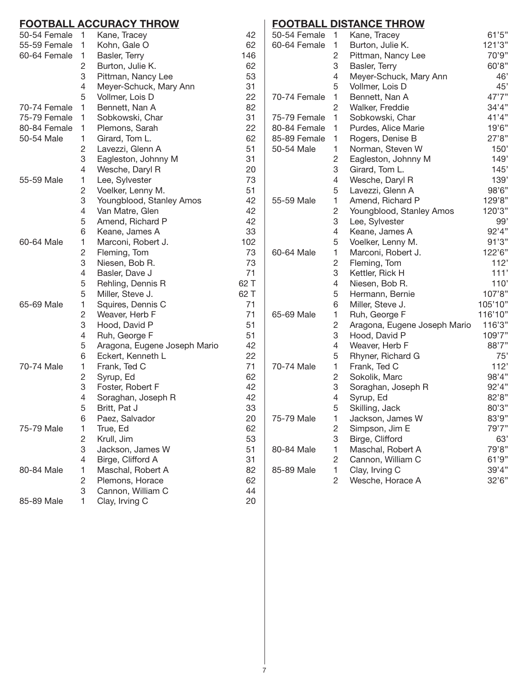# **Football Accuracy Throw**

| 50-54 Female | 1              | Kane, Tracey                 | 42   |
|--------------|----------------|------------------------------|------|
| 55-59 Female | 1              | Kohn, Gale O                 | 62   |
| 60-64 Female | 1              | Basler, Terry                | 146  |
|              | 2              | Burton, Julie K.             | 62   |
|              | 3              | Pittman, Nancy Lee           | 53   |
|              | 4              | Meyer-Schuck, Mary Ann       | 31   |
|              | 5              | Vollmer, Lois D              | 22   |
| 70-74 Female | 1              | Bennett, Nan A               | 82   |
| 75-79 Female | 1              | Sobkowski, Char              | 31   |
| 80-84 Female | 1              | Plemons, Sarah               | 22   |
| 50-54 Male   | 1              | Girard, Tom L.               | 62   |
|              | 2              | Lavezzi, Glenn A             | 51   |
|              | 3              | Eagleston, Johnny M          | 31   |
|              | 4              | Wesche, Daryl R              | 20   |
| 55-59 Male   | 1              | Lee, Sylvester               | 73   |
|              | 2              | Voelker, Lenny M.            | 51   |
|              | 3              | Youngblood, Stanley Amos     | 42   |
|              | 4              | Van Matre, Glen              | 42   |
|              | 5              | Amend, Richard P             | 42   |
|              | 6              | Keane, James A               | 33   |
| 60-64 Male   | 1              | Marconi, Robert J.           | 102  |
|              | 2              | Fleming, Tom                 | 73   |
|              | 3              | Niesen, Bob R.               | 73   |
|              | 4              | Basler, Dave J               | 71   |
|              | 5              | Rehling, Dennis R            | 62 T |
|              | 5              | Miller, Steve J.             | 62 T |
| 65-69 Male   | 1              | Squires, Dennis C            | 71   |
|              | 2              | Weaver, Herb F               | 71   |
|              | 3              | Hood, David P                | 51   |
|              | 4              | Ruh, George F                | 51   |
|              | 5              | Aragona, Eugene Joseph Mario | 42   |
|              | 6              | Eckert, Kenneth L            | 22   |
| 70-74 Male   | 1              | Frank, Ted C                 | 71   |
|              | 2              | Syrup, Ed                    | 62   |
|              | 3              | Foster, Robert F             | 42   |
|              | 4              | Soraghan, Joseph R           | 42   |
|              | 5              | Britt, Pat J                 | 33   |
|              | 6              | Paez, Salvador               | 20   |
| 75-79 Male   | 1              | True, Ed                     | 62   |
|              | $\overline{c}$ | Krull, Jim                   | 53   |
|              | 3              | Jackson, James W             | 51   |
|              | 4              | Birge, Clifford A            | 31   |
| 80-84 Male   | 1              | Maschal, Robert A            | 82   |
|              | 2              | Plemons, Horace              | 62   |
|              | 3              | Cannon, William C            | 44   |
| 85-89 Male   | 1              | Clay, Irving C               | 20   |

# **Football Distance Throw**

| 50-54 Female | 1              | Kane, Tracey                 | 61'5''  |
|--------------|----------------|------------------------------|---------|
| 60-64 Female | 1              | Burton, Julie K.             | 121'3"  |
|              | 2              | Pittman, Nancy Lee           | 70'9"   |
|              | 3              | Basler, Terry                | 60'8"   |
|              | 4              | Meyer-Schuck, Mary Ann       | 46'     |
|              | 5              | Vollmer, Lois D              | 45'     |
| 70-74 Female | 1              | Bennett, Nan A               | 47'7"   |
|              | $\overline{c}$ | Walker, Freddie              | 34'4"   |
| 75-79 Female | 1              | Sobkowski, Char              | 41'4"   |
| 80-84 Female | 1              | Purdes, Alice Marie          | 19'6"   |
| 85-89 Female | 1              | Rogers, Denise B             | 27'8"   |
| 50-54 Male   | 1              | Norman, Steven W             | 150'    |
|              | 2              | Eagleston, Johnny M          | 149'    |
|              | 3              | Girard, Tom L.               | 145'    |
|              | 4              | Wesche, Daryl R              | 139'    |
|              | 5              | Lavezzi, Glenn A             | 98'6"   |
| 55-59 Male   | 1              | Amend, Richard P             | 129'8"  |
|              | 2              | Youngblood, Stanley Amos     | 120'3"  |
|              | 3              | Lee, Sylvester               | 99'     |
|              | 4              | Keane, James A               | 92'4"   |
|              | 5              | Voelker, Lenny M.            | 91'3''  |
| 60-64 Male   | 1              | Marconi, Robert J.           | 122'6"  |
|              | 2              | Fleming, Tom                 | 112'    |
|              | 3              | Kettler, Rick H              | 111'    |
|              | 4              | Niesen, Bob R.               | 110'    |
|              | 5              | Hermann, Bernie              | 107'8"  |
|              | 6              | Miller, Steve J.             | 105'10" |
| 65-69 Male   | 1              | Ruh, George F                | 116'10" |
|              | 2              | Aragona, Eugene Joseph Mario | 116'3"  |
|              | 3              | Hood, David P                | 109'7"  |
|              | 4              | Weaver, Herb F               | 88'7"   |
|              | 5              | Rhyner, Richard G            | 75'     |
| 70-74 Male   | 1              | Frank, Ted C                 | 112'    |
|              | 2              | Sokolik, Marc                | 98'4"   |
|              | 3              | Soraghan, Joseph R           | 92'4"   |
|              | 4              | Syrup, Ed                    | 82'8"   |
|              | 5              | Skilling, Jack               | 80'3"   |
| 75-79 Male   | 1              | Jackson, James W             | 83'9"   |
|              | 2              | Simpson, Jim E               | 79'7"   |
|              | 3              | Birge, Clifford              | 63'     |
| 80-84 Male   | 1              | Maschal, Robert A            | 79'8"   |
|              | $\overline{c}$ | Cannon, William C            | 61'9''  |
| 85-89 Male   | 1              | Clay, Irving C               | 39'4"   |
|              | $\overline{c}$ | Wesche, Horace A             | 32'6"   |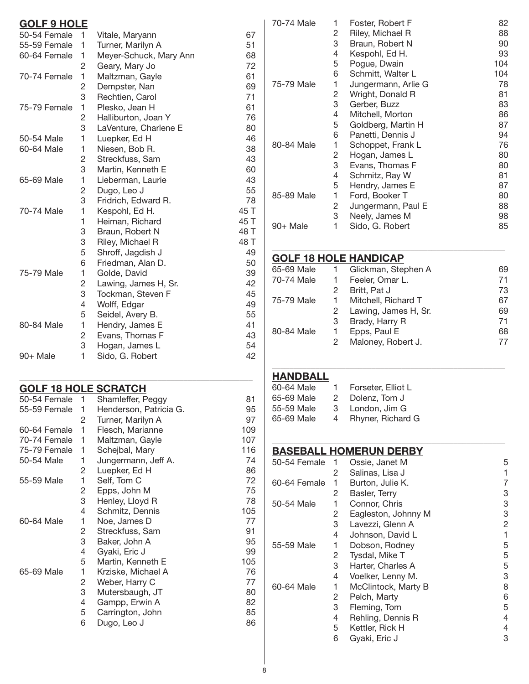| <b>GOLF 9 HOLE</b> |                |                        |      |
|--------------------|----------------|------------------------|------|
| 50-54 Female       | 1              | Vitale, Maryann        | 67   |
| 55-59 Female       | 1              | Turner, Marilyn A      | 51   |
| 60-64 Female       | 1              | Meyer-Schuck, Mary Ann | 68   |
|                    | 2              | Geary, Mary Jo         | 72   |
| 70-74 Female       | 1              | Maltzman, Gayle        | 61   |
|                    | $\overline{c}$ | Dempster, Nan          | 69   |
|                    | 3              | Rechtien, Carol        | 71   |
| 75-79 Female       | 1              | Plesko, Jean H         | 61   |
|                    | 2              | Halliburton, Joan Y    | 76   |
|                    | 3              | LaVenture, Charlene E  | 80   |
| 50-54 Male         | 1              | Luepker, Ed H          | 46   |
| 60-64 Male         | 1              | Niesen, Bob R.         | 38   |
|                    | 2              | Streckfuss, Sam        | 43   |
|                    | 3              | Martin, Kenneth E      | 60   |
| 65-69 Male         | 1              | Lieberman, Laurie      | 43   |
|                    | 2              | Dugo, Leo J            | 55   |
|                    | 3              | Fridrich, Edward R.    | 78   |
| 70-74 Male         | 1              | Kespohl, Ed H.         | 45 T |
|                    | 1              | Heiman, Richard        | 45 T |
|                    | 3              | Braun, Robert N        | 48 T |
|                    | 3              | Riley, Michael R       | 48 T |
|                    | 5              | Shroff, Jagdish J      | 49   |
|                    | 6              | Friedman, Alan D.      | 50   |
| 75-79 Male         | 1              | Golde, David           | 39   |
|                    | 2              | Lawing, James H, Sr.   | 42   |
|                    | 3              | Tockman, Steven F      | 45   |
|                    | 4              | Wolff, Edgar           | 49   |
|                    | 5              | Seidel, Avery B.       | 55   |
| 80-84 Male         | 1              | Hendry, James E        | 41   |
|                    | 2              | Evans, Thomas F        | 43   |
|                    | 3              | Hogan, James L         | 54   |
| $90+$ Male         | 1              | Sido, G. Robert        | 42   |

## **Golf 18 Hole Scratch**

| 50-54 Female | 1 | Shamleffer, Peggy      | 81  |
|--------------|---|------------------------|-----|
| 55-59 Female | 1 | Henderson, Patricia G. | 95  |
|              | 2 | Turner, Marilyn A      | 97  |
| 60-64 Female | 1 | Flesch, Marianne       | 109 |
| 70-74 Female | 1 | Maltzman, Gayle        | 107 |
| 75-79 Female | 1 | Schejbal, Mary         | 116 |
| 50-54 Male   | 1 | Jungermann, Jeff A.    | 74  |
|              | 2 | Luepker, Ed H          | 86  |
| 55-59 Male   | 1 | Self, Tom C            | 72  |
|              | 2 | Epps, John M           | 75  |
|              | 3 | Henley, Lloyd R        | 78  |
|              | 4 | Schmitz, Dennis        | 105 |
| 60-64 Male   | 1 | Noe, James D           | 77  |
|              | 2 | Streckfuss, Sam        | 91  |
|              | 3 | Baker, John A          | 95  |
|              | 4 | Gyaki, Eric J          | 99  |
|              | 5 | Martin, Kenneth E      | 105 |
| 65-69 Male   | 1 | Krziske, Michael A     | 76  |
|              | 2 | Weber, Harry C         | 77  |
|              | 3 | Mutersbaugh, JT        | 80  |
|              | 4 | Gampp, Erwin A         | 82  |
|              | 5 | Carrington, John       | 85  |
|              | 6 | Dugo, Leo J            | 86  |
|              |   |                        |     |

 $\_$  , and the set of the set of the set of the set of the set of the set of the set of the set of the set of the set of the set of the set of the set of the set of the set of the set of the set of the set of the set of th

| 70-74 Male | 1 | Foster, Robert F    | 82  |
|------------|---|---------------------|-----|
|            | 2 | Riley, Michael R    | 88  |
|            | 3 | Braun, Robert N     | 90  |
|            | 4 | Kespohl, Ed H.      | 93  |
|            | 5 | Pogue, Dwain        | 104 |
|            | 6 | Schmitt, Walter L   | 104 |
| 75-79 Male | 1 | Jungermann, Arlie G | 78  |
|            | 2 | Wright, Donald R    | 81  |
|            | 3 | Gerber, Buzz        | 83  |
|            | 4 | Mitchell, Morton    | 86  |
|            | 5 | Goldberg, Martin H  | 87  |
|            | 6 | Panetti, Dennis J   | 94  |
| 80-84 Male | 1 | Schoppet, Frank L   | 76  |
|            | 2 | Hogan, James L      | 80  |
|            | 3 | Evans, Thomas F     | 80  |
|            | 4 | Schmitz, Ray W      | 81  |
|            | 5 | Hendry, James E     | 87  |
| 85-89 Male | 1 | Ford, Booker T      | 80  |
|            | 2 | Jungermann, Paul E  | 88  |
|            | 3 | Neely, James M      | 98  |
| 90+ Male   | 1 | Sido, G. Robert     | 85  |

# **Golf 18 Hole Handicap**

| 65-69 Male | $\overline{1}$ | Glickman, Stephen A    | 69 |
|------------|----------------|------------------------|----|
| 70-74 Male |                | Feeler, Omar L.        | 71 |
|            | 2              | Britt, Pat J           | 73 |
| 75-79 Male | $\mathbf{1}$   | Mitchell, Richard T    | 67 |
|            |                | 2 Lawing, James H, Sr. | 69 |
|            | 3              | Brady, Harry R         | 71 |
| 80-84 Male |                | Epps, Paul E           | 68 |
|            |                | Maloney, Robert J.     | 77 |
|            |                |                        |    |

 $\_$  , and the set of the set of the set of the set of the set of the set of the set of the set of the set of the set of the set of the set of the set of the set of the set of the set of the set of the set of the set of th

\_\_\_\_\_\_\_\_\_\_\_\_\_\_\_\_\_\_\_\_\_\_\_\_\_\_\_\_\_\_\_\_\_\_\_\_\_\_\_\_\_\_\_\_\_\_\_\_\_\_\_\_\_\_

\_\_\_\_\_\_\_\_\_\_\_\_\_\_\_\_\_\_\_\_\_\_\_\_\_\_\_\_\_\_\_\_\_\_\_\_\_\_\_\_\_\_\_\_\_\_\_\_\_\_\_\_\_\_

# **Handball**

| 60-64 Male | 1. | Forseter, Elliot L |
|------------|----|--------------------|
| 65-69 Male | 2. | Dolenz. Tom J      |
| 55-59 Male | З  | London. Jim G      |
| 65-69 Male | 4  | Rhyner, Richard G  |

# **Baseball Homerun Derby**

| 50-54 Female | 1 | Ossie, Janet M      | 5              |
|--------------|---|---------------------|----------------|
|              | 2 | Salinas, Lisa J     | 1              |
| 60-64 Female | 1 | Burton, Julie K.    | 7              |
|              | 2 | Basler, Terry       | 3              |
| 50-54 Male   | 1 | Connor, Chris       | 3              |
|              | 2 | Eagleston, Johnny M | 3              |
|              | 3 | Lavezzi, Glenn A    | $\overline{c}$ |
|              | 4 | Johnson, David L    | 1              |
| 55-59 Male   | 1 | Dobson, Rodney      | 5              |
|              | 2 | Tysdal, Mike T      | 5              |
|              | 3 | Harter, Charles A   | 5              |
|              | 4 | Voelker, Lenny M.   | 3              |
| 60-64 Male   | 1 | McClintock, Marty B | 8              |
|              | 2 | Pelch, Marty        | 6              |
|              | 3 | Fleming, Tom        | 5              |
|              | 4 | Rehling, Dennis R   | 4              |
|              | 5 | Kettler, Rick H     | 4              |
|              | 6 | Gyaki, Eric J       | 3              |
|              |   |                     |                |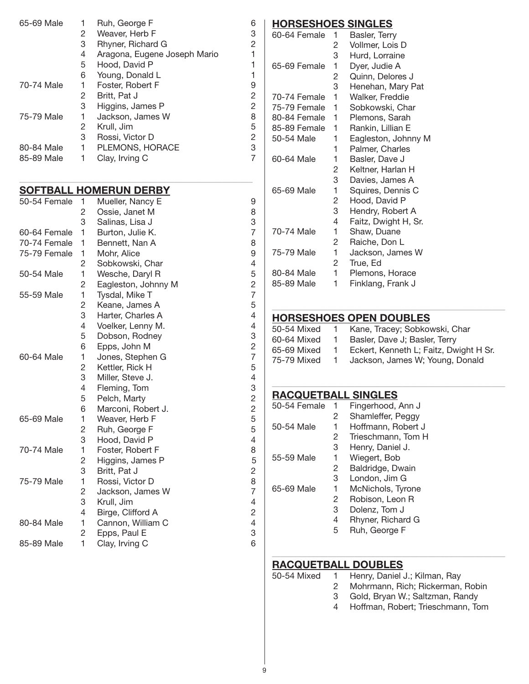| 65-69 Male | 1 | Ruh, George F                | 6 |
|------------|---|------------------------------|---|
|            | 2 | Weaver, Herb F               | 3 |
|            | 3 | Rhyner, Richard G            | 2 |
|            | 4 | Aragona, Eugene Joseph Mario | 1 |
|            | 5 | Hood, David P                | 1 |
|            | 6 | Young, Donald L              |   |
| 70-74 Male | 1 | Foster, Robert F             | 9 |
|            | 2 | Britt, Pat J                 | 2 |
|            | 3 | Higgins, James P             | 2 |
| 75-79 Male | 1 | Jackson, James W             | 8 |
|            | 2 | Krull, Jim                   | 5 |
|            | 3 | Rossi, Victor D              | 2 |
| 80-84 Male | 1 | PLEMONS, HORACE              | 3 |
| 85-89 Male | 1 | Clay, Irving C               | 7 |

#### **Softball Homerun Derby**

| 50-54 Female | 1              | Mueller, Nancy E    | 9              |
|--------------|----------------|---------------------|----------------|
|              | 2              | Ossie, Janet M      | 8              |
|              | 3              | Salinas, Lisa J     | 3              |
| 60-64 Female | 1              | Burton, Julie K.    | $\overline{7}$ |
| 70-74 Female | 1              | Bennett, Nan A      | 8              |
| 75-79 Female | 1              | Mohr, Alice         | 9              |
|              | 2              | Sobkowski, Char     | 4              |
| 50-54 Male   | 1              | Wesche, Daryl R     | 5              |
|              | 2              | Eagleston, Johnny M | $\overline{c}$ |
| 55-59 Male   | 1              | Tysdal, Mike T      | $\overline{7}$ |
|              | $\overline{c}$ | Keane, James A      | 5              |
|              | 3              | Harter, Charles A   | 4              |
|              | 4              | Voelker, Lenny M.   | 4              |
|              | 5              | Dobson, Rodney      | 3              |
|              | 6              | Epps, John M        | $\overline{c}$ |
| 60-64 Male   | 1              | Jones, Stephen G    | $\overline{7}$ |
|              | 2              | Kettler, Rick H     | 5              |
|              | 3              | Miller, Steve J.    | 4              |
|              | 4              | Fleming, Tom        | 3              |
|              | 5              | Pelch, Marty        | $\overline{c}$ |
|              | 6              | Marconi, Robert J.  | $\overline{c}$ |
| 65-69 Male   | 1              | Weaver, Herb F      | 5              |
|              | 2              | Ruh, George F       | 5              |
|              | 3              | Hood, David P       | 4              |
| 70-74 Male   | 1              | Foster, Robert F    | 8              |
|              | 2              | Higgins, James P    | 5              |
|              | 3              | Britt, Pat J        | $\overline{c}$ |
| 75-79 Male   | 1              | Rossi, Victor D     | 8              |
|              | 2              | Jackson, James W    | $\overline{7}$ |
|              | 3              | Krull, Jim          | 4              |
|              | 4              | Birge, Clifford A   | 2              |
| 80-84 Male   | 1              | Cannon, William C   | $\overline{4}$ |
|              | 2              | Epps, Paul E        | 3              |
| 85-89 Male   | 1              | Clay, Irving C      | 6              |

#### **Horseshoes Singles**

| 60-64 Female | 1 | Basler, Terry        |
|--------------|---|----------------------|
|              | 2 | Vollmer, Lois D      |
|              | 3 | Hurd, Lorraine       |
| 65-69 Female | 1 | Dyer, Judie A        |
|              | 2 | Quinn, Delores J     |
|              | 3 | Henehan, Mary Pat    |
| 70-74 Female | 1 | Walker, Freddie      |
| 75-79 Female | 1 | Sobkowski, Char      |
| 80-84 Female | 1 | Plemons, Sarah       |
| 85-89 Female | 1 | Rankin, Lillian E    |
| 50-54 Male   | 1 | Eagleston, Johnny M  |
|              | 1 | Palmer, Charles      |
| 60-64 Male   | 1 | Basler, Dave J       |
|              | 2 | Keltner, Harlan H    |
|              | 3 | Davies, James A      |
| 65-69 Male   | 1 | Squires, Dennis C    |
|              | 2 | Hood, David P        |
|              | 3 | Hendry, Robert A     |
|              | 4 | Faitz, Dwight H, Sr. |
| 70-74 Male   | 1 | Shaw, Duane          |
|              | 2 | Raiche, Don L        |
| 75-79 Male   | 1 | Jackson, James W     |
|              | 2 | True, Ed             |
| 80-84 Male   | 1 | Plemons, Horace      |
| 85-89 Male   | 1 | Finklang, Frank J    |
|              |   |                      |

#### **Horseshoes Open DOUBLES**

| 50-54 Mixed | $\mathbf{1}$   | Kane, Tracey; Sobkowski, Char          |
|-------------|----------------|----------------------------------------|
| 60-64 Mixed | -1             | Basler, Dave J; Basler, Terry          |
| 65-69 Mixed | $\blacksquare$ | Eckert, Kenneth L; Faitz, Dwight H Sr. |
| 75-79 Mixed | $\overline{1}$ | Jackson, James W; Young, Donald        |

\_\_\_\_\_\_\_\_\_\_\_\_\_\_\_\_\_\_\_\_\_\_\_\_\_\_\_\_\_\_\_\_\_\_\_\_\_\_\_\_\_\_\_\_\_\_\_\_\_\_\_\_\_\_

\_\_\_\_\_\_\_\_\_\_\_\_\_\_\_\_\_\_\_\_\_\_\_\_\_\_\_\_\_\_\_\_\_\_\_\_\_\_\_\_\_\_\_\_\_\_\_\_\_\_\_\_\_\_

### **Racquetball Singles**

| 50-54 Female | 1 | Fingerhood, Ann J  |
|--------------|---|--------------------|
|              | 2 | Shamleffer, Peggy  |
| 50-54 Male   | 1 | Hoffmann, Robert J |
|              | 2 | Trieschmann, Tom H |
|              | 3 | Henry, Daniel J.   |
| 55-59 Male   | 1 | Wiegert, Bob       |
|              | 2 | Baldridge, Dwain   |
|              | 3 | London, Jim G      |
| 65-69 Male   | 1 | McNichols, Tyrone  |
|              | 2 | Robison, Leon R    |
|              | 3 | Dolenz, Tom J      |
|              | 4 | Rhyner, Richard G  |
|              | 5 | Ruh, George F      |

#### **Racquetball Doubles** 50-54 Mixed

| d |  | Henry, Daniel J.; Kilman, Ray |  |
|---|--|-------------------------------|--|
|---|--|-------------------------------|--|

\_\_\_\_\_\_\_\_\_\_\_\_\_\_\_\_\_\_\_\_\_\_\_\_\_\_\_\_\_\_\_\_\_\_\_\_\_\_\_\_\_\_\_\_\_\_\_\_\_\_\_\_\_\_

- 2 Mohrmann, Rich; Rickerman, Robin
- 3 Gold, Bryan W.; Saltzman, Randy
- 4 Hoffman, Robert; Trieschmann, Tom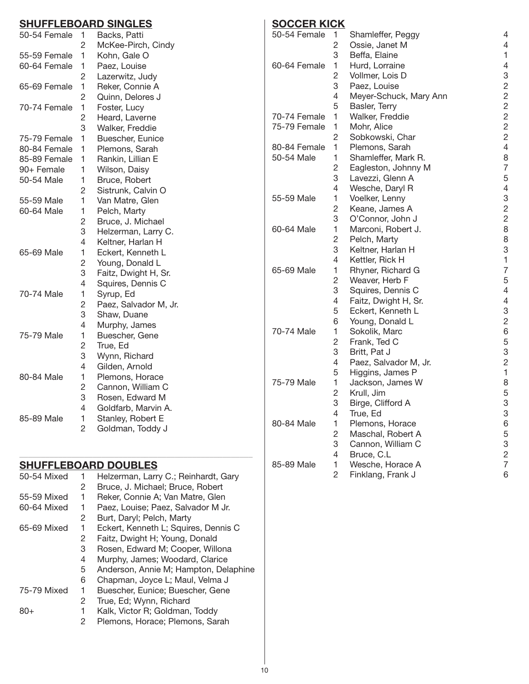# **Shuffleboard Singles**

| 50-54 Female | 1              | Backs, Patti          |
|--------------|----------------|-----------------------|
|              | 2              | McKee-Pirch, Cindy    |
| 55-59 Female | 1              | Kohn, Gale O          |
| 60-64 Female | 1              | Paez, Louise          |
|              | 2              | Lazerwitz, Judy       |
| 65-69 Female | 1              | Reker, Connie A       |
|              | $\overline{c}$ | Quinn, Delores J      |
| 70-74 Female | 1              | Foster, Lucy          |
|              | 2              | Heard, Laverne        |
|              | 3              | Walker, Freddie       |
| 75-79 Female | 1              | Buescher, Eunice      |
| 80-84 Female | 1              | Plemons, Sarah        |
| 85-89 Female | 1              | Rankin, Lillian E     |
| 90+ Female   | 1              | Wilson, Daisy         |
| 50-54 Male   | 1              | Bruce, Robert         |
|              | $\overline{c}$ | Sistrunk, Calvin O    |
| 55-59 Male   | 1              | Van Matre, Glen       |
| 60-64 Male   | 1              | Pelch, Marty          |
|              | 2              | Bruce, J. Michael     |
|              | 3              | Helzerman, Larry C.   |
|              | 4              | Keltner, Harlan H     |
| 65-69 Male   | 1              | Eckert, Kenneth L     |
|              | $\overline{c}$ | Young, Donald L       |
|              | 3              | Faitz, Dwight H, Sr.  |
|              | $\overline{4}$ | Squires, Dennis C     |
| 70-74 Male   | 1              | Syrup, Ed             |
|              | 2              | Paez, Salvador M, Jr. |
|              | 3              | Shaw, Duane           |
|              | 4              | Murphy, James         |
| 75-79 Male   | 1              | Buescher, Gene        |
|              | $\overline{c}$ | True, Ed              |
|              | 3              | Wynn, Richard         |
|              | 4              | Gilden, Arnold        |
| 80-84 Male   | 1              | Plemons, Horace       |
|              | 2              | Cannon, William C     |
|              | 3              | Rosen, Edward M       |
|              | 4              | Goldfarb, Marvin A.   |
| 85-89 Male   | 1              | Stanley, Robert E     |
|              | $\overline{2}$ | Goldman, Toddy J      |

# **Shuffleboard Doubles**

| 50-54 Mixed |   | Helzerman, Larry C.; Reinhardt, Gary  |
|-------------|---|---------------------------------------|
|             | 2 | Bruce, J. Michael; Bruce, Robert      |
| 55-59 Mixed | 1 | Reker, Connie A; Van Matre, Glen      |
| 60-64 Mixed | 1 | Paez, Louise; Paez, Salvador M Jr.    |
|             | 2 | Burt, Daryl; Pelch, Marty             |
| 65-69 Mixed | 1 | Eckert, Kenneth L; Squires, Dennis C  |
|             | 2 | Faitz, Dwight H; Young, Donald        |
|             | 3 | Rosen, Edward M; Cooper, Willona      |
|             | 4 | Murphy, James; Woodard, Clarice       |
|             | 5 | Anderson, Annie M; Hampton, Delaphine |
|             | 6 | Chapman, Joyce L; Maul, Velma J       |
| 75-79 Mixed | 1 | Buescher, Eunice; Buescher, Gene      |
|             | 2 | True, Ed; Wynn, Richard               |
| 80+         | 1 | Kalk, Victor R; Goldman, Toddy        |
|             | 2 | Plemons, Horace; Plemons, Sarah       |

\_\_\_\_\_\_\_\_\_\_\_\_\_\_\_\_\_\_\_\_\_\_\_\_\_\_\_\_\_\_\_\_\_\_\_\_\_\_\_\_\_\_\_\_\_\_\_\_\_\_\_\_\_\_

# **Soccer Kick**

| 50-54 Female | 1              | Shamleffer, Peggy      | $\overline{4}$ |
|--------------|----------------|------------------------|----------------|
|              | $\overline{c}$ | Ossie, Janet M         | 4              |
|              | 3              | Beffa, Elaine          | 1              |
| 60-64 Female | 1              | Hurd, Lorraine         | 4              |
|              | $\overline{c}$ | Vollmer, Lois D        | 3              |
|              | 3              | Paez, Louise           | $\overline{c}$ |
|              | 4              | Meyer-Schuck, Mary Ann | $\overline{2}$ |
|              | 5              | Basler, Terry          | $\overline{2}$ |
| 70-74 Female | 1              | Walker, Freddie        | $\overline{c}$ |
| 75-79 Female | 1              | Mohr, Alice            | $\overline{c}$ |
|              | 2              | Sobkowski, Char        | $\overline{2}$ |
| 80-84 Female | 1              | Plemons, Sarah         | $\overline{4}$ |
| 50-54 Male   | 1              | Shamleffer, Mark R.    | 8              |
|              | 2              | Eagleston, Johnny M    | 7              |
|              | 3              | Lavezzi, Glenn A       | 5              |
|              | 4              | Wesche, Daryl R        | 4              |
| 55-59 Male   | 1              | Voelker, Lenny         | 3              |
|              | 2              | Keane, James A         | $\overline{c}$ |
|              | 3              | O'Connor, John J       | $\overline{c}$ |
| 60-64 Male   | 1              | Marconi, Robert J.     | 8              |
|              | $\overline{c}$ | Pelch, Marty           | 8              |
|              | 3              | Keltner, Harlan H      | 3              |
|              | 4              | Kettler, Rick H        | 1              |
| 65-69 Male   | 1              | Rhyner, Richard G      | $\overline{7}$ |
|              | $\overline{c}$ | Weaver, Herb F         | 5              |
|              | 3              | Squires, Dennis C      | $\overline{4}$ |
|              | 4              | Faitz, Dwight H, Sr.   | 4              |
|              | 5              | Eckert, Kenneth L      | 3              |
|              | 6              | Young, Donald L        | $\overline{c}$ |
| 70-74 Male   | 1              | Sokolik, Marc          | 6              |
|              | $\overline{c}$ | Frank, Ted C           | 5              |
|              | 3              | Britt, Pat J           | 3              |
|              | 4              | Paez, Salvador M, Jr.  | $\overline{c}$ |
|              | 5              | Higgins, James P       | $\mathbf{1}$   |
| 75-79 Male   | 1              | Jackson, James W       | 8              |
|              | $\overline{c}$ | Krull, Jim             | 5              |
|              | 3              | Birge, Clifford A      | 3              |
|              | 4              | True, Ed               | 3              |
| 80-84 Male   | 1              | Plemons, Horace        | 6              |
|              | 2              | Maschal, Robert A      | 5              |
|              | 3              | Cannon, William C      | 3              |
|              | $\overline{4}$ | Bruce, C.L             | $\overline{c}$ |
| 85-89 Male   | 1              | Wesche, Horace A       | $\overline{7}$ |
|              | 2              | Finklang, Frank J      | 6              |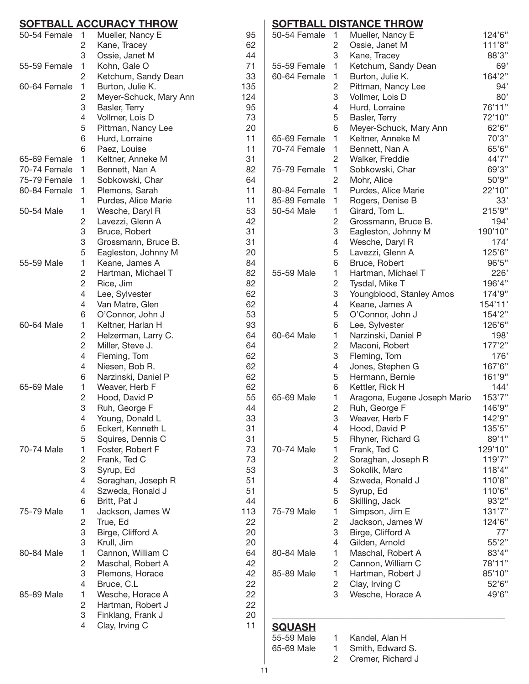## **Softball Accuracy Throw**

| 62<br>44<br>71<br>33<br>135<br>124<br>95<br>73<br>20<br>11<br>11<br>31<br>82<br>64<br>11<br>11 |
|------------------------------------------------------------------------------------------------|
|                                                                                                |
|                                                                                                |
|                                                                                                |
|                                                                                                |
|                                                                                                |
|                                                                                                |
|                                                                                                |
|                                                                                                |
|                                                                                                |
|                                                                                                |
|                                                                                                |
|                                                                                                |
|                                                                                                |
|                                                                                                |
|                                                                                                |
|                                                                                                |
| 53                                                                                             |
| 42                                                                                             |
| 31                                                                                             |
| 31                                                                                             |
|                                                                                                |
| 20                                                                                             |
| 84                                                                                             |
| 82                                                                                             |
| 82                                                                                             |
| 62                                                                                             |
| 62                                                                                             |
| 53                                                                                             |
| 93                                                                                             |
| 64                                                                                             |
| 64                                                                                             |
| 62                                                                                             |
| 62                                                                                             |
| 62                                                                                             |
| 62                                                                                             |
| 55                                                                                             |
| 44                                                                                             |
| 33                                                                                             |
| 31                                                                                             |
| 31                                                                                             |
| 73                                                                                             |
| 73                                                                                             |
| 53                                                                                             |
| 51                                                                                             |
| 51                                                                                             |
| 44                                                                                             |
| 113                                                                                            |
| 22                                                                                             |
| 20                                                                                             |
| 20                                                                                             |
| 64                                                                                             |
| 42                                                                                             |
| 42                                                                                             |
| 22                                                                                             |
| 22                                                                                             |
|                                                                                                |
| 22<br>20                                                                                       |
|                                                                                                |
| 11                                                                                             |
|                                                                                                |

## **Softball Distance Throw**

| 50-54 Female | 1              | Mueller, Nancy E             | 124'6"  |
|--------------|----------------|------------------------------|---------|
|              | 2              | Ossie, Janet M               | 111'8"  |
|              | 3              | Kane, Tracey                 | 88'3"   |
| 55-59 Female | 1              | Ketchum, Sandy Dean          | 69'     |
| 60-64 Female | 1              | Burton, Julie K.             | 164'2"  |
|              | 2              | Pittman, Nancy Lee           | 94'     |
|              | 3              | Vollmer, Lois D              | 80'     |
|              | 4              | Hurd, Lorraine               | 76'11"  |
|              | 5              | Basler, Terry                | 72'10"  |
|              | 6              | Meyer-Schuck, Mary Ann       | 62'6''  |
| 65-69 Female | 1              | Keltner, Anneke M            | 70'3"   |
| 70-74 Female | 1              | Bennett, Nan A               | 65'6"   |
|              | $\overline{c}$ | Walker, Freddie              | 44'7"   |
| 75-79 Female | 1              | Sobkowski, Char              | 69'3"   |
|              | $\overline{c}$ | Mohr, Alice                  | 50'9"   |
| 80-84 Female | 1              | Purdes, Alice Marie          | 22'10"  |
| 85-89 Female | 1              | Rogers, Denise B             | 33'     |
| 50-54 Male   | 1              | Girard, Tom L.               | 215'9"  |
|              | 2              | Grossmann, Bruce B.          | 194'    |
|              | 3              | Eagleston, Johnny M          | 190'10" |
|              | 4              | Wesche, Daryl R              | 174'    |
|              | 5              | Lavezzi, Glenn A             | 125'6"  |
|              | 6              | Bruce, Robert                | 96'5"   |
| 55-59 Male   | 1              | Hartman, Michael T           | 226'    |
|              | 2              | Tysdal, Mike T               | 196'4"  |
|              | 3              | Youngblood, Stanley Amos     | 174'9"  |
|              | 4              | Keane, James A               | 154'11' |
|              | 5              | O'Connor, John J             | 154'2"  |
|              | 6              | Lee, Sylvester               | 126'6"  |
| 60-64 Male   | 1              | Narzinski, Daniel P          | 198'    |
|              | 2              | Maconi, Robert               | 177'2"  |
|              | 3              | Fleming, Tom                 | 176'    |
|              | 4              | Jones, Stephen G             | 167'6"  |
|              | 5              | Hermann, Bernie              | 161'9"  |
|              | 6              | Kettler, Rick H              | 144'    |
| 65-69 Male   | 1              | Aragona, Eugene Joseph Mario | 153'7"  |
|              | 2              | Ruh, George F                | 146'9"  |
|              | 3              | Weaver, Herb F               | 142'9"  |
|              | 4              | Hood, David P                | 135'5"  |
|              | 5              | Rhyner, Richard G            | 89'1"   |
| 70-74 Male   | 1              | Frank, Ted C                 | 129'10" |
|              | 2              | Soraghan, Joseph R           | 119'7"  |
|              | 3              | Sokolik, Marc                | 118'4"  |
|              | 4              | Szweda, Ronald J             | 110'8"  |
|              | 5              | Syrup, Ed                    | 110'6"  |
|              | 6              | Skilling, Jack               | 93'2"   |
| 75-79 Male   | 1              | Simpson, Jim E               | 131'7"  |
|              | 2              | Jackson, James W             | 124'6"  |
|              | 3              | Birge, Clifford A            | 77'     |
|              | 4              | Gilden, Arnold               | 55'2"   |
| 80-84 Male   | 1              | Maschal, Robert A            | 83'4"   |
|              | $\overline{c}$ | Cannon, William C            | 78'11"  |
| 85-89 Male   | 1              | Hartman, Robert J            | 85'10"  |
|              | 2<br>3         | Clay, Irving C               | 52'6"   |
|              |                | Wesche, Horace A             | 49'6"   |

**SQUASH**<br>55-59 Male

1 Kandel, Alan H 65-69 Male 1 Smith, Edward S.

\_\_\_\_\_\_\_\_\_\_\_\_\_\_\_\_\_\_\_\_\_\_\_\_\_\_\_\_\_\_\_\_\_\_\_\_\_\_\_\_\_\_\_\_\_\_\_\_\_\_\_\_\_\_

2 Cremer, Richard J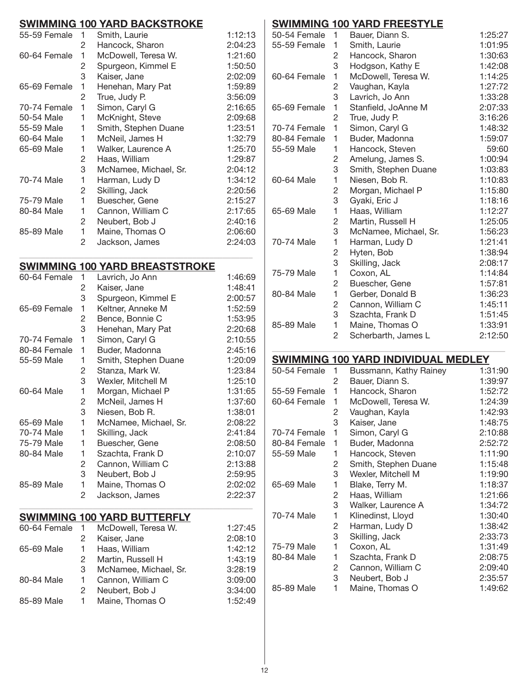# **Swimming 100 Yard Backstroke**

| 55-59 Female | 1 | Smith, Laurie         | 1:12:13 |
|--------------|---|-----------------------|---------|
|              | 2 | Hancock, Sharon       | 2:04:23 |
| 60-64 Female | 1 | McDowell, Teresa W.   | 1:21:60 |
|              | 2 | Spurgeon, Kimmel E    | 1:50:50 |
|              | 3 | Kaiser, Jane          | 2:02:09 |
| 65-69 Female | 1 | Henehan, Mary Pat     | 1:59:89 |
|              | 2 | True, Judy P.         | 3:56:09 |
| 70-74 Female | 1 | Simon, Caryl G        | 2:16:65 |
| 50-54 Male   | 1 | McKnight, Steve       | 2:09:68 |
| 55-59 Male   | 1 | Smith, Stephen Duane  | 1:23:51 |
| 60-64 Male   | 1 | McNeil, James H       | 1:32:79 |
| 65-69 Male   | 1 | Walker, Laurence A    | 1:25:70 |
|              | 2 | Haas, William         | 1:29:87 |
|              | 3 | McNamee, Michael, Sr. | 2:04:12 |
| 70-74 Male   | 1 | Harman, Ludy D        | 1:34:12 |
|              | 2 | Skilling, Jack        | 2:20:56 |
| 75-79 Male   | 1 | Buescher, Gene        | 2:15:27 |
| 80-84 Male   | 1 | Cannon, William C     | 2:17:65 |
|              | 2 | Neubert, Bob J        | 2:40:16 |
| 85-89 Male   | 1 | Maine, Thomas O       | 2:06:60 |
|              | 2 | Jackson, James        | 2:24:03 |
|              |   |                       |         |

#### **Swimming 100 YArd Breaststroke**

\_\_\_\_\_\_\_\_\_\_\_\_\_\_\_\_\_\_\_\_\_\_\_\_\_\_\_\_\_\_\_\_\_\_\_\_\_\_\_\_\_\_\_\_\_\_\_\_\_\_\_\_\_\_

| 1            | Lavrich, Jo Ann       | 1:46:69                                 |
|--------------|-----------------------|-----------------------------------------|
| 2            | Kaiser, Jane          | 1:48:41                                 |
| 3            | Spurgeon, Kimmel E    | 2:00:57                                 |
| 1            | Keltner, Anneke M     | 1:52:59                                 |
| 2            | Bence, Bonnie C       | 1:53:95                                 |
| 3            | Henehan, Mary Pat     | 2:20:68                                 |
| 1            | Simon, Caryl G        | 2:10:55                                 |
| 1            | Buder, Madonna        | 2:45:16                                 |
| 1            | Smith, Stephen Duane  | 1:20:09                                 |
| 2            | Stanza, Mark W.       | 1:23:84                                 |
| 3            | Wexler, Mitchell M    | 1:25:10                                 |
| 1            | Morgan, Michael P     | 1:31:65                                 |
| 2            | McNeil, James H       | 1:37:60                                 |
|              | Niesen, Bob R.        | 1:38:01                                 |
| 1.           | McNamee, Michael, Sr. | 2:08:22                                 |
| 1            | Skilling, Jack        | 2:41:84                                 |
| 1            | Buescher, Gene        | 2:08:50                                 |
| 1            | Szachta, Frank D      | 2:10:07                                 |
| 2            | Cannon, William C     | 2:13:88                                 |
| 3            | Neubert, Bob J        | 2:59:95                                 |
| 1            | Maine, Thomas O       | 2:02:02                                 |
| 2            | Jackson, James        | 2:22:37                                 |
|              |                       |                                         |
| 60-64 Female | McDowell, Teresa W.   | 1:27:45                                 |
| $^{2}$       | Kaiser, Jane          | 2:08:10                                 |
| 1            | Haas, William         | 1:42:12                                 |
|              | 3                     | <b>SWIMMING 100 YARD BUTTERFLY</b><br>1 |

# 2 Martin, Russell H 1:43:19 3 McNamee, Michael, Sr. 3:28:19 80-84 Male 1 Cannon, William C 3:09:00 2 Neubert, Bob J 3:34:00 85-89 Male 1 Maine, Thomas O 1:52:49

## **Swimming 100 Yard Freestyle**

| 50-54 Female | 1              | Bauer, Diann S.       | 1:25:27 |
|--------------|----------------|-----------------------|---------|
| 55-59 Female | 1              | Smith, Laurie         | 1:01:95 |
|              | 2              | Hancock, Sharon       | 1:30:63 |
|              | 3              | Hodgson, Kathy E      | 1:42:08 |
| 60-64 Female | 1              | McDowell, Teresa W.   | 1:14:25 |
|              | 2              | Vaughan, Kayla        | 1:27:72 |
|              | 3              | Lavrich, Jo Ann       | 1:33:28 |
| 65-69 Female | 1              | Stanfield, JoAnne M   | 2:07:33 |
|              | 2              | True, Judy P.         | 3:16:26 |
| 70-74 Female | 1              | Simon, Caryl G        | 1:48:32 |
| 80-84 Female | 1              | Buder, Madonna        | 1:59:07 |
| 55-59 Male   | 1              | Hancock, Steven       | 59:60   |
|              | 2              | Amelung, James S.     | 1:00:94 |
|              | 3              | Smith, Stephen Duane  | 1:03:83 |
| 60-64 Male   | 1              | Niesen, Bob R.        | 1:10:83 |
|              | $\overline{2}$ | Morgan, Michael P     | 1:15:80 |
|              | 3              | Gyaki, Eric J         | 1:18:16 |
| 65-69 Male   | 1              | Haas, William         | 1:12:27 |
|              | $\overline{c}$ | Martin, Russell H     | 1:25:05 |
|              | 3              | McNamee, Michael, Sr. | 1:56:23 |
| 70-74 Male   | 1              | Harman, Ludy D        | 1:21:41 |
|              | 2              | Hyten, Bob            | 1:38:94 |
|              | 3              | Skilling, Jack        | 2:08:17 |
| 75-79 Male   | 1              | Coxon, AL             | 1:14:84 |
|              | 2              | Buescher, Gene        | 1:57:81 |
| 80-84 Male   | 1              | Gerber, Donald B      | 1:36:23 |
|              | 2              | Cannon, William C     | 1:45:11 |
|              | 3              | Szachta, Frank D      | 1:51:45 |
| 85-89 Male   | 1              | Maine, Thomas O       | 1:33:91 |
|              | 2              | Scherbarth, James L   | 2:12:50 |
|              |                |                       |         |

## **Swimming 100 Yard Individual Medley**

\_\_\_\_\_\_\_\_\_\_\_\_\_\_\_\_\_\_\_\_\_\_\_\_\_\_\_\_\_\_\_\_\_\_\_\_\_\_\_\_\_\_\_\_\_\_\_\_\_\_\_\_\_\_

| 50-54 Female | 1 | Bussmann, Kathy Rainey | 1:31:90 |
|--------------|---|------------------------|---------|
|              | 2 | Bauer, Diann S.        | 1:39:97 |
| 55-59 Female | 1 | Hancock, Sharon        | 1:52:72 |
| 60-64 Female | 1 | McDowell, Teresa W.    | 1:24:39 |
|              | 2 | Vaughan, Kayla         | 1:42:93 |
|              | 3 | Kaiser, Jane           | 1:48:75 |
| 70-74 Female | 1 | Simon, Caryl G         | 2:10:88 |
| 80-84 Female | 1 | Buder, Madonna         | 2:52:72 |
| 55-59 Male   | 1 | Hancock, Steven        | 1:11:90 |
|              | 2 | Smith, Stephen Duane   | 1:15:48 |
|              | 3 | Wexler, Mitchell M     | 1:19:90 |
| 65-69 Male   | 1 | Blake, Terry M.        | 1:18:37 |
|              | 2 | Haas, William          | 1:21:66 |
|              | 3 | Walker, Laurence A     | 1:34:72 |
| 70-74 Male   | 1 | Klinedinst, Lloyd      | 1:30:40 |
|              | 2 | Harman, Ludy D         | 1:38:42 |
|              | 3 | Skilling, Jack         | 2:33:73 |
| 75-79 Male   | 1 | Coxon, AL              | 1:31:49 |
| 80-84 Male   | 1 | Szachta, Frank D       | 2:08:75 |
|              | 2 | Cannon, William C      | 2:09:40 |
|              | 3 | Neubert, Bob J         | 2:35:57 |
| 85-89 Male   | 1 | Maine, Thomas O        | 1:49:62 |
|              |   |                        |         |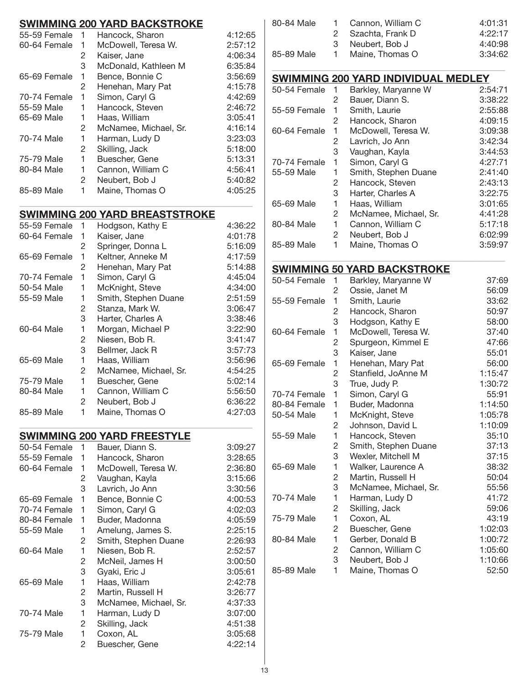|              |                | <b>SWIMMING 200 YARD BACKSTROKE</b>   |         |
|--------------|----------------|---------------------------------------|---------|
| 55-59 Female | 1              | Hancock, Sharon                       | 4:12:65 |
| 60-64 Female | 1              | McDowell, Teresa W.                   | 2:57:12 |
|              | 2              | Kaiser, Jane                          | 4:06:34 |
|              | 3              | McDonald, Kathleen M                  | 6:35:84 |
| 65-69 Female | 1              | Bence, Bonnie C                       | 3:56:69 |
|              |                |                                       | 4:15:78 |
|              | 2              | Henehan, Mary Pat                     |         |
| 70-74 Female | 1              | Simon, Caryl G                        | 4:42:69 |
| 55-59 Male   | 1              | Hancock, Steven                       | 2:46:72 |
| 65-69 Male   | 1              | Haas, William                         | 3:05:41 |
|              | 2              | McNamee, Michael, Sr.                 | 4:16:14 |
| 70-74 Male   | 1              | Harman, Ludy D                        | 3:23:03 |
|              | 2              | Skilling, Jack                        | 5:18:00 |
| 75-79 Male   | 1              | Buescher, Gene                        | 5:13:31 |
| 80-84 Male   | 1              | Cannon, William C                     | 4:56:41 |
|              | 2              | Neubert, Bob J                        | 5:40:82 |
| 85-89 Male   | 1              | Maine, Thomas O                       | 4:05:25 |
|              |                |                                       |         |
|              |                | <b>SWIMMING 200 YARD BREASTSTROKE</b> |         |
| 55-59 Female | 1              | Hodgson, Kathy E                      | 4:36:22 |
| 60-64 Female | 1              | Kaiser, Jane                          | 4:01:78 |
|              | 2              | Springer, Donna L                     | 5:16:09 |
| 65-69 Female | 1              | Keltner, Anneke M                     | 4:17:59 |
|              | 2              | Henehan, Mary Pat                     | 5:14:88 |
| 70-74 Female | 1              | Simon, Caryl G                        | 4:45:04 |
| 50-54 Male   | 1              | McKnight, Steve                       | 4:34:00 |
| 55-59 Male   | 1              | Smith, Stephen Duane                  | 2:51:59 |
|              | 2              | Stanza, Mark W.                       | 3:06:47 |
|              | 3              | Harter, Charles A                     | 3:38:46 |
| 60-64 Male   | 1              | Morgan, Michael P                     | 3:22:90 |
|              |                |                                       |         |
|              | 2              | Niesen, Bob R.                        | 3:41:47 |
|              | 3              | Bellmer, Jack R                       | 3:57:73 |
| 65-69 Male   | 1              | Haas, William                         | 3:56:96 |
|              | $\overline{c}$ | McNamee, Michael, Sr.                 | 4:54:25 |
| 75-79 Male   | 1              | Buescher, Gene                        | 5:02:14 |
| 80-84 Male   | 1              | Cannon, William C                     | 5:56:50 |
|              | $\overline{c}$ | Neubert, Bob J                        | 6:36:22 |
| 85-89 Male   | 1              | Maine, Thomas O                       | 4:27:03 |
|              |                |                                       |         |
|              |                | <b>SWIMMING 200 YARD FREESTYLE</b>    |         |
| 50-54 Female | 1              | Bauer, Diann S.                       | 3:09:27 |
| 55-59 Female | 1              | Hancock, Sharon                       | 3:28:65 |
| 60-64 Female | 1              | McDowell, Teresa W.                   | 2:36:80 |
|              | 2              | Vaughan, Kayla                        | 3:15:66 |
|              | 3              | Lavrich, Jo Ann                       | 3:30:56 |
| 65-69 Female | 1              | Bence, Bonnie C                       | 4:00:53 |
| 70-74 Female | 1              | Simon, Caryl G                        | 4:02:03 |
| 80-84 Female | 1              | Buder, Madonna                        | 4:05:59 |
| 55-59 Male   | 1              | Amelung, James S.                     | 2:25:15 |
|              | 2              | Smith, Stephen Duane                  | 2:26:93 |
| 60-64 Male   | 1              | Niesen, Bob R.                        | 2:52:57 |
|              | 2              | McNeil, James H                       | 3:00:50 |
|              | 3              | Gyaki, Eric J                         | 3:05:61 |
| 65-69 Male   | 1              | Haas, William                         | 2:42:78 |
|              | 2              | Martin, Russell H                     | 3:26:77 |
|              | 3              | McNamee, Michael, Sr.                 | 4:37:33 |
| 70-74 Male   | 1              | Harman, Ludy D                        | 3:07:00 |
|              | 2              | Skilling, Jack                        | 4:51:38 |
| 75-79 Male   | 1              | Coxon, AL                             | 3:05:68 |
|              | 2              | Buescher, Gene                        | 4:22:14 |
|              |                |                                       |         |

| 80-84 Male | 1 Cannon, William C | 4:01:31 |
|------------|---------------------|---------|
|            | 2 Szachta, Frank D  | 4:22:17 |
|            | 3 Neubert, Bob J    | 4:40:98 |
| 85-89 Male | 1 Maine, Thomas O   | 3:34:62 |
|            |                     |         |

|              |   | <b>SWIMMING 200 YARD INDIVIDUAL MEDLEY</b> |         |
|--------------|---|--------------------------------------------|---------|
| 50-54 Female | 1 | Barkley, Maryanne W                        | 2:54:71 |
|              | 2 | Bauer, Diann S.                            | 3:38:22 |
| 55-59 Female | 1 | Smith, Laurie                              | 2:55:88 |
|              | 2 | Hancock, Sharon                            | 4:09:15 |
| 60-64 Female | 1 | McDowell, Teresa W.                        | 3:09:38 |
|              | 2 | Lavrich, Jo Ann                            | 3:42:34 |
|              | 3 | Vaughan, Kayla                             | 3:44:53 |
| 70-74 Female | 1 | Simon, Caryl G                             | 4:27:71 |
| 55-59 Male   | 1 | Smith, Stephen Duane                       | 2:41:40 |
|              | 2 | Hancock, Steven                            | 2:43:13 |
|              | 3 | Harter, Charles A                          | 3:22:75 |
| 65-69 Male   | 1 | Haas, William                              | 3:01:65 |
|              | 2 | McNamee, Michael, Sr.                      | 4:41:28 |
| 80-84 Male   | 1 | Cannon, William C                          | 5:17:18 |
|              | 2 | Neubert, Bob J                             | 6:02:99 |
| 85-89 Male   | 1 | Maine, Thomas O                            | 3:59:97 |

# **Swimming 50 Yard Backstroke**

| 50-54 Female | 1 | Barkley, Maryanne W   | 37:69   |
|--------------|---|-----------------------|---------|
|              | 2 | Ossie, Janet M        | 56:09   |
| 55-59 Female | 1 | Smith, Laurie         | 33:62   |
|              | 2 | Hancock, Sharon       | 50:97   |
|              | 3 | Hodgson, Kathy E      | 58:00   |
| 60-64 Female | 1 | McDowell, Teresa W.   | 37:40   |
|              | 2 | Spurgeon, Kimmel E    | 47:66   |
|              | 3 | Kaiser, Jane          | 55:01   |
| 65-69 Female | 1 | Henehan, Mary Pat     | 56:00   |
|              | 2 | Stanfield, JoAnne M   | 1:15:47 |
|              | 3 | True, Judy P.         | 1:30:72 |
| 70-74 Female | 1 | Simon, Caryl G        | 55:91   |
| 80-84 Female | 1 | Buder, Madonna        | 1:14:50 |
| 50-54 Male   | 1 | McKnight, Steve       | 1:05:78 |
|              | 2 | Johnson, David L      | 1:10:09 |
| 55-59 Male   | 1 | Hancock, Steven       | 35:10   |
|              | 2 | Smith, Stephen Duane  | 37:13   |
|              | 3 | Wexler, Mitchell M    | 37:15   |
| 65-69 Male   | 1 | Walker, Laurence A    | 38:32   |
|              | 2 | Martin, Russell H     | 50:04   |
|              | 3 | McNamee, Michael, Sr. | 55:56   |
| 70-74 Male   | 1 | Harman, Ludy D        | 41:72   |
|              | 2 | Skilling, Jack        | 59:06   |
| 75-79 Male   | 1 | Coxon, AL             | 43:19   |
|              | 2 | Buescher, Gene        | 1:02:03 |
| 80-84 Male   | 1 | Gerber, Donald B      | 1:00:72 |
|              | 2 | Cannon, William C     | 1:05:60 |
|              | 3 | Neubert, Bob J        | 1:10:66 |
| 85-89 Male   | 1 | Maine, Thomas O       | 52:50   |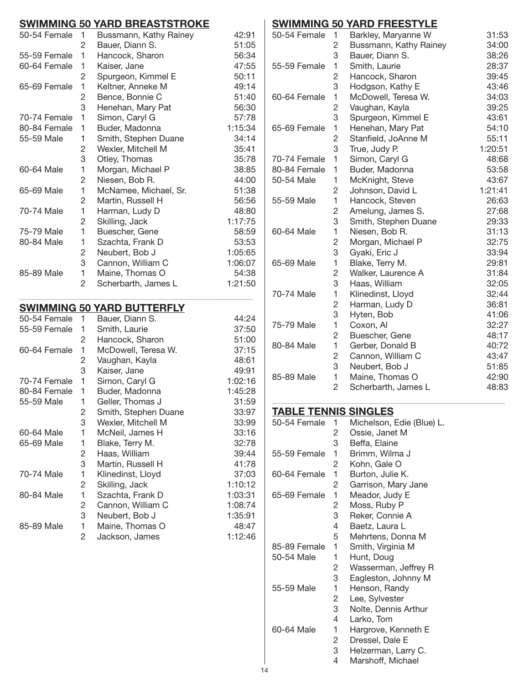## **Swimming 50 Yard Breaststroke**

| UTTIITIITIITU VV |                | <u>IAIN DINAVIVIIVINA</u>         |         |
|------------------|----------------|-----------------------------------|---------|
| 50-54 Female     | 1              | Bussmann, Kathy Rainey            | 42:91   |
|                  | $\overline{c}$ | Bauer, Diann S.                   | 51:05   |
| 55-59 Female     | 1              | Hancock, Sharon                   | 56:34   |
| 60-64 Female     | 1              | Kaiser, Jane                      | 47:55   |
|                  | $\overline{c}$ | Spurgeon, Kimmel E                | 50:11   |
| 65-69 Female     | 1              | Keltner, Anneke M                 | 49:14   |
|                  | $\overline{c}$ | Bence, Bonnie C                   | 51:40   |
|                  | 3              | Henehan, Mary Pat                 | 56:30   |
| 70-74 Female     | $\mathbf{1}$   | Simon, Caryl G                    | 57:78   |
| 80-84 Female     | 1              | Buder, Madonna                    | 1:15:34 |
| 55-59 Male       | 1              | Smith, Stephen Duane              | 34:14   |
|                  | $\overline{c}$ | Wexler, Mitchell M                | 35:41   |
|                  | 3              | Otley, Thomas                     | 35:78   |
| 60-64 Male       | 1              | Morgan, Michael P                 | 38:85   |
|                  | $\overline{c}$ | Niesen, Bob R.                    | 44:00   |
| 65-69 Male       | 1              | McNamee, Michael, Sr.             | 51:38   |
|                  | $\overline{c}$ | Martin, Russell H                 | 56:56   |
| 70-74 Male       | 1              | Harman, Ludy D                    | 48:80   |
|                  | $\overline{c}$ | Skilling, Jack                    | 1:17:75 |
| 75-79 Male       | $\mathbf{1}$   | Buescher, Gene                    | 58:59   |
| 80-84 Male       | 1              | Szachta, Frank D                  | 53:53   |
|                  | $\overline{c}$ | Neubert, Bob J                    | 1:05:65 |
|                  | 3              | Cannon, William C                 | 1:06:07 |
| 85-89 Male       | 1              | Maine, Thomas O                   | 54:38   |
|                  | 2              | Scherbarth, James L               | 1:21:50 |
|                  |                | <b>SWIMMING 50 YARD BUTTERFLY</b> |         |
| 50-54 Female     | 1              | Bauer, Diann S.                   | 44:24   |
| 55-59 Female     | 1              | Smith, Laurie                     | 37:50   |
|                  | $\overline{2}$ | Hancock, Sharon                   | 51:00   |
| 60-64 Female     | 1              | McDowell, Teresa W.               | 37:15   |
|                  | $\overline{c}$ | Vaughan, Kayla                    | 48:61   |
|                  | 3              | Kaiser, Jane                      | 49:91   |
| 70-74 Female     | $\mathbf{1}$   | Simon, Caryl G                    | 1:02:16 |
| 80-84 Female     | 1              | Buder, Madonna                    | 1:45:28 |

55-59 Male 1 Geller, Thomas J 31:59

60-64 Male 1 McNeil, James H 33:16 65-69 Male 1 Blake, Terry M. 32:78

70-74 Male 1 Klinedinst, Lloyd 37:03

80-84 Male 1 Szachta, Frank D 1:03:31

85-89 Male 1 Maine, Thomas O 48:47

2 Smith, Stephen Duane 33:97 3 Wexler, Mitchell M 33:99

2 Haas, William 39:44 3 Martin, Russell H 41:78

2 Skilling, Jack 1:10:12

2 Cannon, William C 1:08:74 3 Neubert, Bob J 1:35:91

2 Jackson, James 1:12:46

## **Swimming 50 Yard Freestyle**

| 50-54 Female | 1              | Barkley, Maryanne W    | 31:53   |
|--------------|----------------|------------------------|---------|
|              | 2              | Bussmann, Kathy Rainey | 34:00   |
|              | 3              | Bauer, Diann S.        | 38:26   |
| 55-59 Female | 1              | Smith, Laurie          | 28:37   |
|              | $\overline{c}$ | Hancock, Sharon        | 39:45   |
|              | 3              | Hodgson, Kathy E       | 43:46   |
| 60-64 Female | 1              | McDowell, Teresa W.    | 34:03   |
|              | $\overline{c}$ | Vaughan, Kayla         | 39:25   |
|              | 3              | Spurgeon, Kimmel E     | 43:61   |
| 65-69 Female | 1              | Henehan, Mary Pat      | 54:10   |
|              | $\overline{c}$ | Stanfield, JoAnne M    | 55:11   |
|              | 3              | True, Judy P.          | 1:20:51 |
| 70-74 Female | 1              | Simon, Caryl G         | 48:68   |
| 80-84 Female | 1              | Buder, Madonna         | 53:58   |
| 50-54 Male   | 1              | McKnight, Steve        | 43:67   |
|              | $\overline{c}$ | Johnson, David L       | 1:21:41 |
| 55-59 Male   | 1              | Hancock, Steven        | 26:63   |
|              | $\overline{c}$ | Amelung, James S.      | 27:68   |
|              | 3              | Smith, Stephen Duane   | 29:33   |
| 60-64 Male   | 1              | Niesen, Bob R.         | 31:13   |
|              | 2              | Morgan, Michael P      | 32:75   |
|              | 3              | Gyaki, Eric J          | 33:94   |
| 65-69 Male   | 1              | Blake, Terry M.        | 29:81   |
|              | $\overline{c}$ | Walker, Laurence A     | 31:84   |
|              | 3              | Haas, William          | 32:05   |
| 70-74 Male   | 1              | Klinedinst, Lloyd      | 32:44   |
|              | $\overline{c}$ | Harman, Ludy D         | 36:81   |
|              | 3              | Hyten, Bob             | 41:06   |
| 75-79 Male   | 1              | Coxon, Al              | 32:27   |
|              | $\overline{c}$ | Buescher, Gene         | 48:17   |
| 80-84 Male   | 1              | Gerber, Donald B       | 40:72   |
|              | $\overline{c}$ | Cannon, William C      | 43:47   |
|              | 3              | Neubert, Bob J         | 51:85   |
| 85-89 Male   | 1              | Maine, Thomas O        | 42:90   |
|              | 2              | Scherbarth, James L    | 48:83   |

\_\_\_\_\_\_\_\_\_\_\_\_\_\_\_\_\_\_\_\_\_\_\_\_\_\_\_\_\_\_\_\_\_\_\_\_\_\_\_\_\_\_\_\_\_\_\_\_\_\_\_\_\_\_

#### **Table Tennis Singles**

| 50-54 Female | 1 | Michelson, Edie (Blue) L. |
|--------------|---|---------------------------|
|              | 2 | Ossie, Janet M            |
|              | 3 | Beffa, Elaine             |
| 55-59 Female | 1 | Brimm, Wilma J            |
|              | 2 | Kohn, Gale O              |
| 60-64 Female | 1 | Burton, Julie K.          |
|              | 2 | Garrison, Mary Jane       |
| 65-69 Female | 1 | Meador, Judy E            |
|              | 2 | Moss, Ruby P              |
|              | 3 | Reker, Connie A           |
|              | 4 | Baetz, Laura L            |
|              | 5 | Mehrtens, Donna M         |
| 85-89 Female | 1 | Smith, Virginia M         |
| 50-54 Male   | 1 | Hunt, Doug                |
|              | 2 | Wasserman, Jeffrey R      |
|              | 3 | Eagleston, Johnny M       |
| 55-59 Male   | 1 | Henson, Randy             |
|              | 2 | Lee, Sylvester            |
|              | 3 | Nolte, Dennis Arthur      |
|              | 4 | Larko, Tom                |
| 60-64 Male   | 1 | Hargrove, Kenneth E       |
|              | 2 | Dressel, Dale E           |
|              | 3 | Helzerman, Larry C.       |
|              | 4 | Marshoff, Michael         |
|              |   |                           |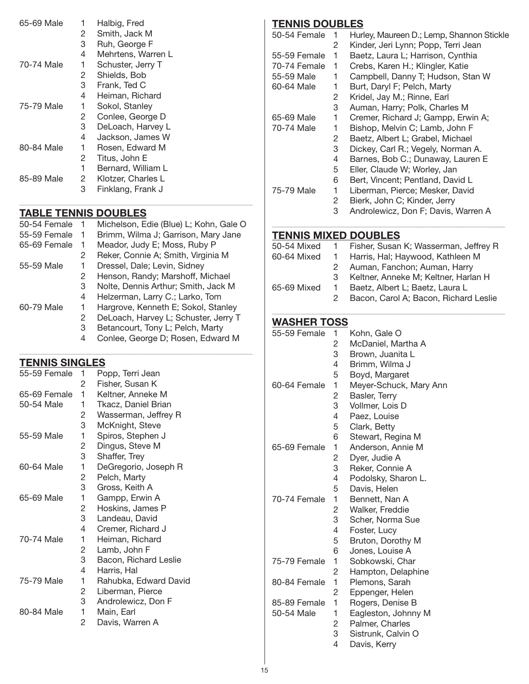| 65-69 Male | 1                     | Halbig, Fred       |
|------------|-----------------------|--------------------|
|            | 2                     | Smith, Jack M      |
|            | 3                     | Ruh, George F      |
|            | 4                     | Mehrtens, Warren L |
| 70-74 Male | 1                     | Schuster, Jerry T  |
|            | 2                     | Shields, Bob       |
|            | 3                     | Frank, Ted C       |
|            | 4                     | Heiman, Richard    |
| 75-79 Male | 1                     | Sokol, Stanley     |
|            | 2                     | Conlee, George D   |
|            | 3                     | DeLoach, Harvey L  |
|            | 4                     | Jackson, James W   |
| 80-84 Male | 1                     | Rosen, Edward M    |
|            | 2                     | Titus, John E      |
|            | 1                     | Bernard, William L |
| 85-89 Male | $\mathbf{2}^{\prime}$ | Klotzer, Charles L |
|            | 3                     | Finklang, Frank J  |

# **Table Tennis Doubles**

| 50-54 Female | 1 | Michelson, Edie (Blue) L; Kohn, Gale O |
|--------------|---|----------------------------------------|
| 55-59 Female | 1 | Brimm, Wilma J; Garrison, Mary Jane    |
| 65-69 Female | 1 | Meador, Judy E; Moss, Ruby P           |
|              | 2 | Reker, Connie A; Smith, Virginia M     |
| 55-59 Male   | 1 | Dressel, Dale; Levin, Sidney           |
|              | 2 | Henson, Randy; Marshoff, Michael       |
|              | 3 | Nolte, Dennis Arthur; Smith, Jack M    |
|              | 4 | Helzerman, Larry C.; Larko, Tom        |
| 60-79 Male   | 1 | Hargrove, Kenneth E; Sokol, Stanley    |
|              | 2 | DeLoach, Harvey L; Schuster, Jerry T   |
|              | 3 | Betancourt, Tony L; Pelch, Marty       |
|              | 4 | Conlee, George D; Rosen, Edward M      |
|              |   |                                        |

\_\_\_\_\_\_\_\_\_\_\_\_\_\_\_\_\_\_\_\_\_\_\_\_\_\_\_\_\_\_\_\_\_\_\_\_\_\_\_\_\_\_\_\_\_\_\_\_\_\_\_\_\_\_

# **Tennis Singles**

| 55-59 Female | 1 | Popp, Terri Jean      |
|--------------|---|-----------------------|
|              | 2 | Fisher, Susan K       |
| 65-69 Female | 1 | Keltner, Anneke M     |
| 50-54 Male   | 1 | Tkacz, Daniel Brian   |
|              | 2 | Wasserman, Jeffrey R  |
|              | 3 | McKnight, Steve       |
| 55-59 Male   | 1 | Spiros, Stephen J     |
|              | 2 | Dingus, Steve M       |
|              | 3 | Shaffer, Trey         |
| 60-64 Male   | 1 | DeGregorio, Joseph R  |
|              | 2 | Pelch, Marty          |
|              | 3 | Gross, Keith A        |
| 65-69 Male   | 1 | Gampp, Erwin A        |
|              | 2 | Hoskins, James P      |
|              | 3 | Landeau, David        |
|              | 4 | Cremer, Richard J     |
| 70-74 Male   | 1 | Heiman, Richard       |
|              | 2 | Lamb, John F          |
|              | 3 | Bacon, Richard Leslie |
|              | 4 | Harris, Hal           |
| 75-79 Male   | 1 | Rahubka, Edward David |
|              | 2 | Liberman, Pierce      |
|              | 3 | Androlewicz, Don F    |
| 80-84 Male   | 1 | Main, Earl            |
|              | 2 | Davis, Warren A       |

# **Tennis Doubles**

| 1 | Hurley, Maureen D.; Lemp, Shannon Stickle |
|---|-------------------------------------------|
| 2 | Kinder, Jeri Lynn; Popp, Terri Jean       |
| 1 | Baetz, Laura L; Harrison, Cynthia         |
| 1 | Crebs, Karen H.; Klingler, Katie          |
| 1 | Campbell, Danny T; Hudson, Stan W         |
| 1 | Burt, Daryl F; Pelch, Marty               |
| 2 | Kridel, Jay M.; Rinne, Earl               |
| 3 | Auman, Harry; Polk, Charles M             |
| 1 | Cremer, Richard J; Gampp, Erwin A;        |
| 1 | Bishop, Melvin C; Lamb, John F            |
| 2 | Baetz, Albert L; Grabel, Michael          |
| 3 | Dickey, Carl R.; Vegely, Norman A.        |
| 4 | Barnes, Bob C.; Dunaway, Lauren E         |
| 5 | Eller, Claude W; Worley, Jan              |
| 6 | Bert, Vincent; Pentland, David L          |
| 1 | Liberman, Pierce; Mesker, David           |
| 2 | Bierk, John C; Kinder, Jerry              |
| 3 | Androlewicz, Don F; Davis, Warren A       |
|   |                                           |

## **Tennis Mixed Doubles**

| 50-54 Mixed | $\mathbf{1}$ | Fisher, Susan K; Wasserman, Jeffrey R |
|-------------|--------------|---------------------------------------|
| 60-64 Mixed | $\mathbf{1}$ | Harris, Hal; Haywood, Kathleen M      |
|             | 2            | Auman, Fanchon; Auman, Harry          |
|             | 3            | Keltner, Anneke M; Keltner, Harlan H  |
| 65-69 Mixed | $\mathbf{1}$ | Baetz, Albert L; Baetz, Laura L       |
|             | 2            | Bacon, Carol A; Bacon, Richard Leslie |
|             |              |                                       |

\_\_\_\_\_\_\_\_\_\_\_\_\_\_\_\_\_\_\_\_\_\_\_\_\_\_\_\_\_\_\_\_\_\_\_\_\_\_\_\_\_\_\_\_\_\_\_\_\_\_\_\_\_\_

## **Washer Toss**

| 1              | Kohn, Gale O                                                                 |
|----------------|------------------------------------------------------------------------------|
| 2              | McDaniel, Martha A                                                           |
| 3              | Brown, Juanita L                                                             |
| 4              | Brimm, Wilma J                                                               |
| 5              | Boyd, Margaret                                                               |
| 1              | Meyer-Schuck, Mary Ann                                                       |
| 2              | Basler, Terry                                                                |
| 3              | Vollmer, Lois D                                                              |
| 4              | Paez, Louise                                                                 |
| 5              | Clark, Betty                                                                 |
| 6              | Stewart, Regina M                                                            |
| 1              | Anderson, Annie M                                                            |
| $\overline{c}$ | Dyer, Judie A                                                                |
|                | Reker, Connie A                                                              |
| 4              | Podolsky, Sharon L.                                                          |
|                | Davis, Helen                                                                 |
| 1              | Bennett, Nan A                                                               |
|                | Walker, Freddie                                                              |
|                | Scher, Norma Sue                                                             |
|                | Foster, Lucy                                                                 |
|                | Bruton, Dorothy M                                                            |
|                | Jones, Louise A                                                              |
|                | Sobkowski, Char                                                              |
|                | Hampton, Delaphine                                                           |
|                | Plemons, Sarah                                                               |
|                | Eppenger, Helen                                                              |
|                | Rogers, Denise B                                                             |
|                | Eagleston, Johnny M                                                          |
|                | Palmer, Charles                                                              |
|                | Sistrunk, Calvin O                                                           |
|                | Davis, Kerry                                                                 |
|                | 3<br>5<br>2<br>3<br>4<br>5<br>6<br>1<br>2<br>1<br>2<br>1<br>1<br>2<br>3<br>4 |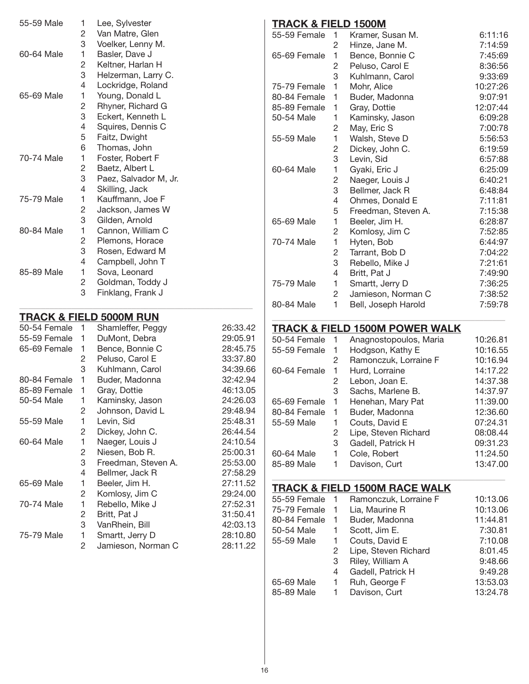| 55-59 Male     | 1.           | Lee, Sylvester                     |          | <b>TRACK &amp; FIELD 1500M</b> |                |                                           |          |
|----------------|--------------|------------------------------------|----------|--------------------------------|----------------|-------------------------------------------|----------|
|                | 2            | Van Matre, Glen                    |          | 55-59 Female                   | $\overline{1}$ | Kramer, Susan M.                          | 6:11:16  |
|                | 3            | Voelker, Lenny M.                  |          |                                | 2              | Hinze, Jane M.                            | 7:14:59  |
| 60-64 Male     | 1            | Basler, Dave J                     |          | 65-69 Female                   | -1             | Bence, Bonnie C                           | 7:45:69  |
|                | 2            | Keltner, Harlan H                  |          |                                | 2              | Peluso, Carol E                           | 8:36:56  |
|                | 3            | Helzerman, Larry C.                |          |                                | 3              | Kuhlmann, Carol                           | 9:33:69  |
|                | 4            | Lockridge, Roland                  |          | 75-79 Female                   | 1              | Mohr, Alice                               | 10:27:26 |
| 65-69 Male     | 1            | Young, Donald L                    |          | 80-84 Female                   | -1             | Buder, Madonna                            | 9:07:91  |
|                | 2            | Rhyner, Richard G                  |          | 85-89 Female                   | 1              | Gray, Dottie                              | 12:07:44 |
|                | 3            | Eckert, Kenneth L                  |          | 50-54 Male                     | 1.             | Kaminsky, Jason                           | 6:09:28  |
|                | 4            | Squires, Dennis C                  |          |                                | $\overline{c}$ | May, Eric S                               | 7:00:78  |
|                | 5            | Faitz, Dwight                      |          | 55-59 Male                     | 1              | Walsh, Steve D                            | 5:56:53  |
|                | 6            | Thomas, John                       |          |                                | 2              | Dickey, John C.                           | 6:19:59  |
| 70-74 Male     | 1            | Foster, Robert F                   |          |                                | 3              | Levin, Sid                                | 6:57:88  |
|                | 2            | Baetz, Albert L                    |          | 60-64 Male                     |                |                                           | 6:25:09  |
|                | 3            | Paez, Salvador M, Jr.              |          |                                | 1              | Gyaki, Eric J                             |          |
|                | 4            | Skilling, Jack                     |          |                                | 2              | Naeger, Louis J                           | 6:40:21  |
| 75-79 Male     | 1            | Kauffmann, Joe F                   |          |                                | 3              | Bellmer, Jack R                           | 6:48:84  |
|                | 2            | Jackson, James W                   |          |                                | 4              | Ohmes, Donald E                           | 7:11:81  |
|                | 3            | Gilden, Arnold                     |          |                                | 5              | Freedman, Steven A.                       | 7:15:38  |
|                |              |                                    |          | 65-69 Male                     | 1              | Beeler, Jim H.                            | 6:28:87  |
| 80-84 Male     | 1            | Cannon, William C                  |          |                                | 2              | Komlosy, Jim C                            | 7:52:85  |
|                | 2            | Plemons, Horace                    |          | 70-74 Male                     | 1              | Hyten, Bob                                | 6:44:97  |
|                | 3            | Rosen, Edward M                    |          |                                | 2              | Tarrant, Bob D                            | 7:04:22  |
|                | 4            | Campbell, John T                   |          |                                | 3              | Rebello, Mike J                           | 7:21:61  |
| 85-89 Male     | 1            | Sova, Leonard                      |          |                                | 4              | Britt, Pat J                              | 7:49:90  |
|                | 2            | Goldman, Toddy J                   |          | 75-79 Male                     | 1              | Smartt, Jerry D                           | 7:36:25  |
|                | 3            | Finklang, Frank J                  |          |                                | $\overline{c}$ | Jamieson, Norman C                        | 7:38:52  |
|                |              |                                    |          | 80-84 Male                     | 1              | Bell, Joseph Harold                       | 7:59:78  |
|                |              | <b>TRACK &amp; FIELD 5000M RUN</b> |          |                                |                |                                           |          |
| 50-54 Female 1 |              | Shamleffer, Peggy                  | 26:33.42 |                                |                | <b>TRACK &amp; FIELD 1500M POWER WALK</b> |          |
| 55-59 Female   | $\mathbf{1}$ | DuMont, Debra                      | 29:05.91 | 50-54 Female                   | $\overline{1}$ | Anagnostopoulos, Maria                    | 10:26.81 |
| 65-69 Female   | $\mathbf{1}$ | Bence, Bonnie C                    | 28:45.75 | 55-59 Female                   | $\overline{1}$ | Hodgson, Kathy E                          | 10:16.55 |
|                | 2            | Peluso, Carol E                    | 33:37.80 |                                | 2              | Ramonczuk, Lorraine F                     | 10:16.94 |
|                | 3            | Kuhlmann, Carol                    | 34:39.66 | 60-64 Female                   | $\overline{1}$ | Hurd, Lorraine                            | 14:17.22 |
| 80-84 Female   | 1            | Buder, Madonna                     | 32:42.94 |                                | 2              | Lebon, Joan E.                            | 14:37.38 |
| 85-89 Female   | 1            | Gray, Dottie                       | 46:13.05 |                                | 3              | Sachs, Marlene B.                         | 14:37.97 |
| 50-54 Male     | 1            | Kaminsky, Jason                    | 24:26.03 | 65-69 Female                   | $\overline{1}$ | Henehan, Mary Pat                         | 11:39.00 |
|                | 2            | Johnson, David L                   | 29:48.94 | 80-84 Female                   | 1              | Buder, Madonna                            | 12:36.60 |
| 55-59 Male     | 1            | Levin, Sid                         | 25:48.31 | 55-59 Male                     | 1              | Couts, David E                            | 07:24.31 |
|                | 2            | Dickey, John C.                    | 26:44.54 |                                | 2              | Lipe, Steven Richard                      | 08:08.44 |
| 60-64 Male     | $\mathbf{1}$ | Naeger, Louis J                    | 24:10.54 |                                | 3              | Gadell, Patrick H                         | 09:31.23 |
|                | 2            | Niesen, Bob R.                     | 25:00.31 | 60-64 Male                     | 1              | Cole, Robert                              | 11:24.50 |
|                | 3            | Freedman, Steven A.                | 25:53.00 | 85-89 Male                     | 1              | Davison, Curt                             | 13:47.00 |
|                | 4            | Bellmer, Jack R                    | 27:58.29 |                                |                |                                           |          |
| 65-69 Male     | 1            | Beeler, Jim H.                     | 27:11.52 |                                |                |                                           |          |
|                | 2            | Komlosy, Jim C                     | 29:24.00 |                                |                | <b>TRACK &amp; FIELD 1500M RACE WALK</b>  |          |
| 70-74 Male     | 1            | Rebello, Mike J                    | 27:52.31 | 55-59 Female 1                 |                | Ramonczuk, Lorraine F                     | 10:13.06 |
|                | 2            | Britt, Pat J                       | 31:50.41 | 75-79 Female                   | $\overline{1}$ | Lia, Maurine R                            | 10:13.06 |
|                | 3            | VanRhein, Bill                     | 42:03.13 | 80-84 Female                   | $\overline{1}$ | Buder, Madonna                            | 11:44.81 |
|                |              |                                    |          | 50-54 Male                     | 1.             | Scott, Jim E.                             | 7:30.81  |
| 75-79 Male     | 1            | Smartt, Jerry D                    | 28:10.80 | 55-59 Male                     | 1.             | Couts, David E                            | 7:10.08  |
|                | 2            | Jamieson, Norman C                 | 28:11.22 |                                | $\overline{c}$ | Lipe, Steven Richard                      | 8:01.45  |
|                |              |                                    |          |                                | 3              | Riley, William A                          | 9:48.66  |
|                |              |                                    |          |                                | 4              | Gadell, Patrick H                         | 9:49.28  |
|                |              |                                    |          | 65-69 Male                     | 1              | Ruh, George F                             | 13:53.03 |
|                |              |                                    |          | 85-89 Male                     | 1              | Davison, Curt                             | 13:24.78 |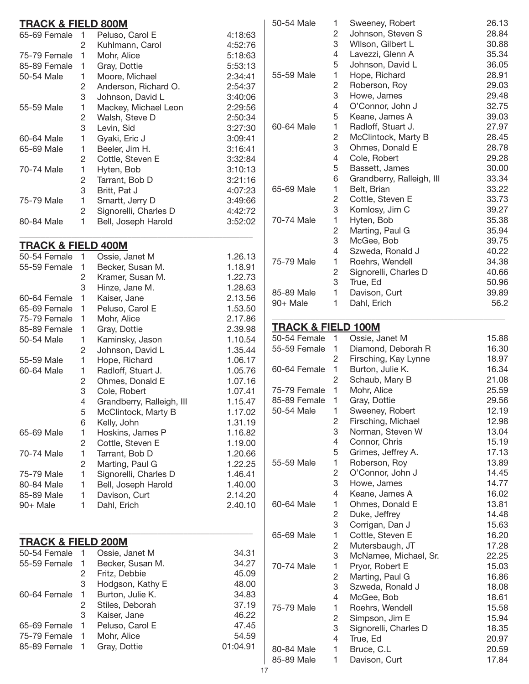| <b>TRACK &amp; FIELD 800M</b> |                |                                          |                    | 50-       |
|-------------------------------|----------------|------------------------------------------|--------------------|-----------|
| 65-69 Female                  | 1              | Peluso, Carol E                          | 4:18:63            |           |
|                               | $\overline{c}$ | Kuhlmann, Carol                          | 4:52:76            |           |
| 75-79 Female                  | 1              | Mohr, Alice                              | 5:18:63            |           |
| 85-89 Female                  | 1              | Gray, Dottie                             | 5:53:13            |           |
| 50-54 Male                    | 1              | Moore, Michael                           | 2:34:41            | 55-       |
|                               | 2              | Anderson, Richard O.                     | 2:54:37            |           |
|                               | 3              | Johnson, David L                         | 3:40:06            |           |
| 55-59 Male                    | 1              | Mackey, Michael Leon                     | 2:29:56            |           |
|                               | 2              | Walsh, Steve D                           | 2:50:34            |           |
|                               | 3              | Levin, Sid                               | 3:27:30            | 60-       |
| 60-64 Male                    | 1              | Gyaki, Eric J                            | 3:09:41            |           |
| 65-69 Male                    | 1              | Beeler, Jim H.                           | 3:16:41            |           |
|                               | $\overline{c}$ | Cottle, Steven E                         | 3:32:84            |           |
| 70-74 Male                    | 1              | Hyten, Bob                               | 3:10:13            |           |
|                               | $\overline{c}$ | Tarrant, Bob D                           | 3:21:16            |           |
|                               | 3              | Britt, Pat J                             | 4:07:23            | 65-       |
| 75-79 Male                    | 1              | Smartt, Jerry D                          | 3:49:66            |           |
|                               | $\overline{c}$ | Signorelli, Charles D                    | 4:42:72            |           |
| 80-84 Male                    | 1              | Bell, Joseph Harold                      | 3:52:02            | 70-       |
|                               |                |                                          |                    |           |
| <b>TRACK &amp; FIELD 400M</b> |                |                                          |                    |           |
| 50-54 Female                  | 1              | Ossie, Janet M                           | 1.26.13            |           |
| 55-59 Female                  | 1              | Becker, Susan M.                         | 1.18.91            | $75-$     |
|                               | 2              | Kramer, Susan M.                         | 1.22.73            |           |
|                               | 3              | Hinze, Jane M.                           | 1.28.63            |           |
| 60-64 Female                  | 1              | Kaiser, Jane                             | 2.13.56            | 85-       |
| 65-69 Female                  | 1              | Peluso, Carol E                          | 1.53.50            | 90-       |
| 75-79 Female                  | 1              | Mohr, Alice                              | 2.17.86            |           |
| 85-89 Female                  | 1              | Gray, Dottie                             | 2.39.98            | <u>TF</u> |
| 50-54 Male                    | 1              | Kaminsky, Jason                          | 1.10.54            | 50-       |
|                               | $\overline{c}$ | Johnson, David L                         | 1.35.44            | 55-       |
| 55-59 Male                    | 1              | Hope, Richard                            | 1.06.17            |           |
| 60-64 Male                    | 1              | Radloff, Stuart J.                       | 1.05.76            | 60-       |
|                               | 2              | Ohmes, Donald E                          | 1.07.16            |           |
|                               | 3              | Cole, Robert                             | 1.07.41            | $75 -$    |
|                               | 4              | Grandberry, Ralleigh, III                | 1.15.47            | 85-       |
|                               | 5              | McClintock, Marty B                      | 1.17.02            | 50-       |
|                               | 6              | Kelly, John                              | 1.31.19            |           |
| 65-69 Male                    | 1              | Hoskins, James P                         | 1.16.82            |           |
|                               | 2              | Cottle, Steven E                         | 1.19.00            |           |
| 70-74 Male                    | 1              | Tarrant, Bob D                           | 1.20.66            |           |
|                               |                |                                          |                    | 55-       |
|                               | 2<br>1         | Marting, Paul G<br>Signorelli, Charles D | 1.22.25            |           |
| 75-79 Male                    |                |                                          | 1.46.41<br>1.40.00 |           |
| 80-84 Male                    | 1              | Bell, Joseph Harold                      |                    |           |
| 85-89 Male                    | 1              | Davison, Curt                            | 2.14.20            | 60-       |
| 90+ Male                      | 1              | Dahl, Erich                              | 2.40.10            |           |
|                               |                |                                          |                    |           |
| <b>TRACK &amp; FIELD 200M</b> |                |                                          |                    | 65-       |
| 50-54 Female                  | 1              | Ossie, Janet M                           | 34.31              |           |
| 55-59 Female                  | 1              | Becker, Susan M.                         | 34.27              |           |
|                               | $\sqrt{2}$     | Fritz, Debbie                            | 45.09              | $70-$     |
|                               | 3              | Hodgson, Kathy E                         | 48.00              |           |
| 60-64 Female                  | 1              | Burton, Julie K.                         | 34.83              |           |
|                               | $\overline{c}$ | Stiles, Deborah                          | 37.19              |           |
|                               | 3              | Kaiser, Jane                             | 46.22              | $75 -$    |
|                               | 1              | Peluso, Carol E                          | 47.45              |           |
| 65-69 Female<br>75-79 Female  | 1              |                                          |                    |           |
|                               |                | Mohr, Alice                              | 54.59              |           |
| 85-89 Female                  | 1              | Gray, Dottie                             | 01:04.91           | 80-       |
|                               |                |                                          |                    | O E       |

| 50-54 Male                                    | 1                   | Sweeney, Robert                     | 26.13          |
|-----------------------------------------------|---------------------|-------------------------------------|----------------|
|                                               | 2                   | Johnson, Steven S                   | 28.84          |
|                                               | 3                   | Wilson, Gilbert L                   | 30.88          |
|                                               | 4                   | Lavezzi, Glenn A                    | 35.34          |
|                                               | 5                   | Johnson, David L                    | 36.05          |
| 55-59 Male                                    | 1                   | Hope, Richard                       | 28.91          |
|                                               | 2                   | Roberson, Roy                       | 29.03          |
|                                               | 3                   | Howe, James                         | 29.48          |
|                                               | 4                   | O'Connor, John J                    | 32.75          |
|                                               | 5                   | Keane, James A                      | 39.03          |
| 60-64 Male                                    | 1                   | Radloff, Stuart J.                  | 27.97          |
|                                               | 2                   | McClintock, Marty B                 | 28.45          |
|                                               | 3                   | Ohmes, Donald E                     | 28.78          |
|                                               | 4                   | Cole, Robert                        | 29.28          |
|                                               | 5                   | Bassett, James                      | 30.00          |
|                                               | 6                   | Grandberry, Ralleigh, III           | 33.34          |
| 65-69 Male                                    | 1                   | Belt, Brian                         | 33.22          |
|                                               | 2                   | Cottle, Steven E                    | 33.73          |
|                                               | 3                   | Komlosy, Jim C                      | 39.27          |
| 70-74 Male                                    | 1                   | Hyten, Bob                          | 35.38          |
|                                               | 2                   | Marting, Paul G                     | 35.94          |
|                                               | 3                   | McGee, Bob                          | 39.75          |
|                                               | 4                   | Szweda, Ronald J                    | 40.22          |
| 75-79 Male                                    | 1                   | Roehrs, Wendell                     | 34.38          |
|                                               | 2                   | Signorelli, Charles D               | 40.66          |
|                                               | 3                   | True, Ed                            | 50.96          |
| 85-89 Male                                    | 1                   | Davison, Curt                       | 39.89          |
| 90+ Male                                      | 1                   | Dahl, Erich                         | 56.2           |
|                                               |                     |                                     |                |
| <b>TRACK &amp; FIELD 100M</b><br>50-54 Female | 1                   | Ossie, Janet M                      | 15.88          |
|                                               |                     |                                     |                |
|                                               |                     |                                     |                |
| 55-59 Female                                  | 1                   | Diamond, Deborah R                  | 16.30          |
|                                               | 2                   | Firsching, Kay Lynne                | 18.97          |
| 60-64 Female                                  | 1                   | Burton, Julie K.                    | 16.34          |
|                                               | 2                   | Schaub, Mary B                      | 21.08          |
| 75-79 Female                                  | 1                   | Mohr, Alice                         | 25.59          |
| 85-89 Female                                  | 1                   | Gray, Dottie                        | 29.56          |
| 50-54 Male                                    | 1                   | Sweeney, Robert                     | 12.19          |
|                                               | 2                   | Firsching, Michael                  | 12.98          |
|                                               | 3<br>4              | Norman, Steven W                    | 13.04          |
|                                               |                     | Connor, Chris                       | 15.19          |
| 55-59 Male                                    | 5<br>1              | Grimes, Jeffrey A.                  | 17.13          |
|                                               |                     | Roberson, Roy                       | 13.89          |
|                                               | $\overline{c}$<br>3 | O'Connor, John J                    | 14.45          |
|                                               | 4                   | Howe, James                         | 14.77<br>16.02 |
| 60-64 Male                                    | 1                   | Keane, James A                      |                |
|                                               | 2                   | Ohmes, Donald E                     | 13.81<br>14.48 |
|                                               | 3                   | Duke, Jeffrey                       | 15.63          |
| 65-69 Male                                    | 1                   | Corrigan, Dan J<br>Cottle, Steven E | 16.20          |
|                                               | $\overline{c}$      |                                     | 17.28          |
|                                               | 3                   | Mutersbaugh, JT                     | 22.25          |
| 70-74 Male                                    | 1                   | McNamee, Michael, Sr.               | 15.03          |
|                                               | $\overline{c}$      | Pryor, Robert E<br>Marting, Paul G  | 16.86          |
|                                               | 3                   | Szweda, Ronald J                    | 18.08          |
|                                               | 4                   | McGee, Bob                          | 18.61          |
| 75-79 Male                                    | 1                   | Roehrs, Wendell                     | 15.58          |
|                                               | 2                   | Simpson, Jim E                      | 15.94          |
|                                               | 3                   | Signorelli, Charles D               | 18.35          |
|                                               | 4                   | True, Ed                            | 20.97          |
| 80-84 Male<br>85-89 Male                      | 1                   | Bruce, C.L<br>Davison, Curt         | 20.59<br>17.84 |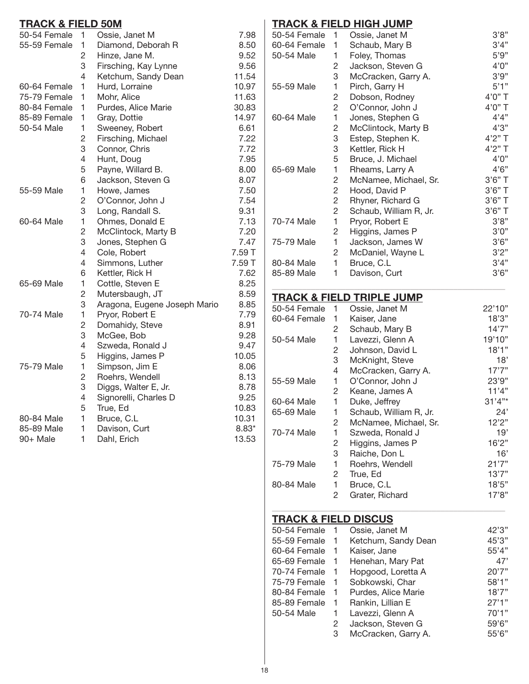#### **Track & Field 50M**

| 50-54 Female | 1              | Ossie, Janet M               | 7.98    |
|--------------|----------------|------------------------------|---------|
| 55-59 Female | 1              | Diamond, Deborah R           | 8.50    |
|              | 2              | Hinze, Jane M.               | 9.52    |
|              | 3              | Firsching, Kay Lynne         | 9.56    |
|              | $\overline{4}$ | Ketchum, Sandy Dean          | 11.54   |
| 60-64 Female | 1              | Hurd, Lorraine               | 10.97   |
| 75-79 Female | $\mathbf{1}$   | Mohr, Alice                  | 11.63   |
| 80-84 Female | 1              | Purdes, Alice Marie          | 30.83   |
| 85-89 Female | 1              | Gray, Dottie                 | 14.97   |
| 50-54 Male   | 1              | Sweeney, Robert              | 6.61    |
|              | $\overline{c}$ | Firsching, Michael           | 7.22    |
|              | 3              | Connor, Chris                | 7.72    |
|              | 4              | Hunt, Doug                   | 7.95    |
|              | 5              | Payne, Willard B.            | 8.00    |
|              | 6              | Jackson, Steven G            | 8.07    |
| 55-59 Male   | 1              | Howe, James                  | 7.50    |
|              | $\overline{2}$ | O'Connor, John J             | 7.54    |
|              | 3              | Long, Randall S.             | 9.31    |
| 60-64 Male   | 1              | Ohmes, Donald E              | 7.13    |
|              | 2              | McClintock, Marty B          | 7.20    |
|              | 3              | Jones, Stephen G             | 7.47    |
|              | $\overline{4}$ | Cole, Robert                 | 7.59 T  |
|              | 4              | Simmons, Luther              | 7.59 T  |
|              | 6              | Kettler, Rick H              | 7.62    |
| 65-69 Male   | 1              | Cottle, Steven E             | 8.25    |
|              | 2              | Mutersbaugh, JT              | 8.59    |
|              | 3              | Aragona, Eugene Joseph Mario | 8.85    |
| 70-74 Male   | 1              | Pryor, Robert E              | 7.79    |
|              | $\overline{c}$ | Domahidy, Steve              | 8.91    |
|              | 3              | McGee, Bob                   | 9.28    |
|              | 4              | Szweda, Ronald J             | 9.47    |
|              | 5              | Higgins, James P             | 10.05   |
| 75-79 Male   | 1              | Simpson, Jim E               | 8.06    |
|              | $\overline{2}$ | Roehrs, Wendell              | 8.13    |
|              | 3              | Diggs, Walter E, Jr.         | 8.78    |
|              | 4              | Signorelli, Charles D        | 9.25    |
|              | 5              | True, Ed                     | 10.83   |
| 80-84 Male   | 1              | Bruce, C.L                   | 10.31   |
| 85-89 Male   | 1              | Davison, Curt                | $8.83*$ |
| 90+ Male     | 1              | Dahl, Erich                  | 13.53   |

# **Track & Field High Jump**

| 1                     | Ossie, Janet M         | 3'8"      |
|-----------------------|------------------------|-----------|
| 1                     | Schaub, Mary B         | 3'4"      |
| 1                     | Foley, Thomas          | 5'9''     |
| $\mathbf{2}^{\prime}$ | Jackson, Steven G      | 4'0''     |
| 3                     | McCracken, Garry A.    | 3'9''     |
| 1                     | Pirch, Garry H         | 5'1"      |
| 2                     | Dobson, Rodney         | 4'0" T    |
| 2                     | O'Connor, John J       | 4'0" T    |
| 1                     | Jones, Stephen G       | 4'4"      |
| 2                     | McClintock, Marty B    | 4'3"      |
| 3                     | Estep, Stephen K.      | $4'2''$ T |
| 3                     | Kettler, Rick H        | 4'2" T    |
| 5                     | Bruce, J. Michael      | 4'0''     |
| 1                     | Rheams, Larry A        | 4'6''     |
| $\overline{2}$        | McNamee, Michael, Sr.  | $3'6"$ T  |
| $\overline{c}$        | Hood, David P          | 3'6" T    |
| $\overline{c}$        | Rhyner, Richard G      | $3'6"$ T  |
| 2                     | Schaub, William R, Jr. | $3'6''$ T |
|                       | Pryor, Robert E        | 3'8''     |
| 2                     | Higgins, James P       | 3'0''     |
|                       | Jackson, James W       | 3'6''     |
| 2                     | McDaniel, Wayne L      | 3'2"      |
| 1                     | Bruce, C.L             | 3'4"      |
| 1                     | Davison, Curt          | 3'6''     |
|                       | 1<br>1                 |           |

# **Track & Field Triple Jump**

| 50-54 Female | 1 | Ossie, Janet M         | 22'10" |
|--------------|---|------------------------|--------|
| 60-64 Female | 1 | Kaiser, Jane           | 18'3"  |
|              | 2 | Schaub, Mary B         | 14'7'' |
| 50-54 Male   | 1 | Lavezzi, Glenn A       | 19'10" |
|              | 2 | Johnson, David L       | 18'1"  |
|              | 3 | McKnight, Steve        | 18'    |
|              | 4 | McCracken, Garry A.    | 17'7'' |
| 55-59 Male   | 1 | O'Connor, John J       | 23'9"  |
|              | 2 | Keane, James A         | 11'4"  |
| 60-64 Male   | 1 | Duke, Jeffrey          | 31'4"* |
| 65-69 Male   | 1 | Schaub, William R, Jr. | 24'    |
|              | 2 | McNamee, Michael, Sr.  | 12'2"  |
| 70-74 Male   | 1 | Szweda, Ronald J       | 19'    |
|              | 2 | Higgins, James P       | 16'2"  |
|              | 3 | Raiche, Don L          | 16'    |
| 75-79 Male   | 1 | Roehrs, Wendell        | 21'7'' |
|              | 2 | True, Ed               | 13'7'' |
| 80-84 Male   | 1 | Bruce, C.L             | 18'5"  |
|              | 2 | Grater, Richard        | 17'8"  |

\_\_\_\_\_\_\_\_\_\_\_\_\_\_\_\_\_\_\_\_\_\_\_\_\_\_\_\_\_\_\_\_\_\_\_\_\_\_\_\_\_\_\_\_\_\_\_\_\_\_\_\_\_\_

## **Track & Field Discus**

| 50-54 Female |              | Ossie, Janet M      | 42'3" |
|--------------|--------------|---------------------|-------|
| 55-59 Female | -1           | Ketchum, Sandy Dean | 45'3" |
| 60-64 Female |              | Kaiser, Jane        | 55'4" |
| 65-69 Female | -1           | Henehan, Mary Pat   | 47'   |
| 70-74 Female |              | Hopgood, Loretta A  | 20'7" |
| 75-79 Female | $\mathbf{1}$ | Sobkowski, Char     | 58'1" |
| 80-84 Female | 1.           | Purdes, Alice Marie | 18'7" |
| 85-89 Female | 1            | Rankin, Lillian E   | 27'1" |
| 50-54 Male   | 1            | Lavezzi, Glenn A    | 70'1" |
|              | 2            | Jackson, Steven G   | 59'6" |
|              | 3            | McCracken, Garry A. | 55'6" |

\_\_\_\_\_\_\_\_\_\_\_\_\_\_\_\_\_\_\_\_\_\_\_\_\_\_\_\_\_\_\_\_\_\_\_\_\_\_\_\_\_\_\_\_\_\_\_\_\_\_\_\_\_\_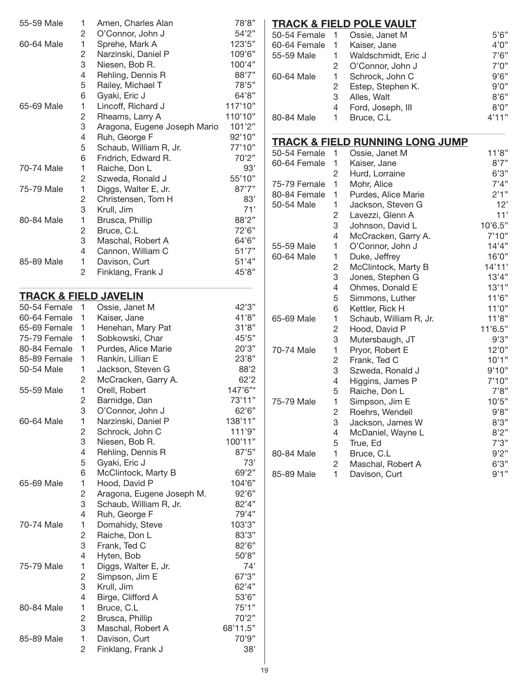| 55-59 Male                       | 1                       | Amen, Charles Alan           | 78'8"    |
|----------------------------------|-------------------------|------------------------------|----------|
|                                  | 2                       | O'Connor, John J             | 54'2"    |
| 60-64 Male                       | 1                       | Sprehe, Mark A               | 123'5"   |
|                                  | $\overline{c}$          | Narzinski, Daniel P          | 109'6"   |
|                                  | 3                       | Niesen, Bob R.               | 100'4"   |
|                                  | 4                       | Rehling, Dennis R            | 88'7"    |
|                                  | 5                       | Railey, Michael T            | 78'5"    |
|                                  | 6                       | Gyaki, Eric J                | 64'8"    |
| 65-69 Male                       | 1                       | Lincoff, Richard J           | 117'10"  |
|                                  | $\overline{c}$          | Rheams, Larry A              | 110'10"  |
|                                  | 3                       | Aragona, Eugene Joseph Mario | 101'2"   |
|                                  | 4                       | Ruh, George F                | 92'10"   |
|                                  | 5                       | Schaub, William R, Jr.       | 77'10"   |
|                                  | 6                       | Fridrich, Edward R.          | 70'2"    |
| 70-74 Male                       | 1                       | Raiche, Don L                | 93'      |
|                                  | 2                       | Szweda, Ronald J             | 55'10"   |
| 75-79 Male                       | 1                       | Diggs, Walter E, Jr.         | 87'7"    |
|                                  | $\overline{c}$          | Christensen, Tom H           | 83'      |
|                                  | 3                       | Krull, Jim                   | 71'      |
| 80-84 Male                       | 1                       | Brusca, Phillip              | 88'2"    |
|                                  | $\overline{c}$          | Bruce, C.L                   | 72'6"    |
|                                  | 3                       | Maschal, Robert A            | 64'6"    |
|                                  | 4                       | Cannon, William C            | 51'7''   |
| 85-89 Male                       | 1                       | Davison, Curt                | 51'4"    |
|                                  | 2                       | Finklang, Frank J            | 45'8"    |
|                                  |                         |                              |          |
| <b>TRACK &amp; FIELD JAVELIN</b> |                         |                              |          |
| 50-54 Female                     | 1                       | Ossie, Janet M               | 42'3"    |
| 60-64 Female                     | 1                       | Kaiser, Jane                 | 41'8"    |
| 65-69 Female                     | 1                       | Henehan, Mary Pat            | 31'8"    |
| 75-79 Female                     | 1                       | Sobkowski, Char              | 45'5"    |
| 80-84 Female                     | 1                       | Purdes, Alice Marie          | 20'3"    |
| 85-89 Female                     | 1                       | Rankin, Lillian E            | 23'8"    |
| 50-54 Male                       | 1                       | Jackson, Steven G            | 88'2     |
|                                  | 2                       | McCracken, Garry A.          | 62'2     |
| 55-59 Male                       | $\mathbf{1}$            | Orell, Robert                | 147'6"*  |
|                                  | $\overline{\mathbf{c}}$ | Barnidge, Dan                | 73'11"   |
|                                  | 3                       | O'Connor, John J             | 62'6"    |
| 60-64 Male                       | 1                       | Narzinski, Daniel P          | 138'11"  |
|                                  | 2                       | Schrock, John C              | 111'9"   |
|                                  | 3                       |                              | 100'11"  |
|                                  | 4                       | Niesen, Bob R.               | 87'5"    |
|                                  | 5                       | Rehling, Dennis R            | 73'      |
|                                  |                         | Gyaki, Eric J                |          |
|                                  | 6                       | McClintock, Marty B          | 69'2"    |
| 65-69 Male                       | 1                       | Hood, David P                | 104'6"   |
|                                  | $\overline{c}$          | Aragona, Eugene Joseph M.    | 92'6"    |
|                                  | 3                       | Schaub, William R, Jr.       | 82'4"    |
|                                  | 4                       | Ruh, George F                | 79'4"    |
| 70-74 Male                       | 1                       | Domahidy, Steve              | 103'3"   |
|                                  | $\overline{c}$          | Raiche, Don L                | 83'3"    |
|                                  | 3                       | Frank, Ted C                 | 82'6"    |
|                                  | 4                       | Hyten, Bob                   | 50'8"    |
| 75-79 Male                       | 1                       | Diggs, Walter E, Jr.         | 74'      |
|                                  | $\overline{c}$          | Simpson, Jim E               | 67'3"    |
|                                  | 3                       | Krull, Jim                   | 62'4"    |
|                                  | 4                       | Birge, Clifford A            | 53'6"    |
| 80-84 Male                       | 1                       | Bruce, C.L                   | 75'1"    |
|                                  | $\overline{c}$          | Brusca, Phillip              | 70'2"    |
|                                  | 3                       | Maschal, Robert A            | 68'11.5" |
| 85-89 Male                       | 1                       | Davison, Curt                | 70'9"    |
|                                  | $\overline{2}$          | Finklang, Frank J            | 38'      |

# **Track & Field Pole Vault**

| 50-54 Female |   | Ossie, Janet M      | 5'6'' |
|--------------|---|---------------------|-------|
| 60-64 Female | 1 | Kaiser, Jane        | 4'0'' |
| 55-59 Male   |   | Waldschmidt, Eric J | 7'6'' |
|              |   | O'Connor, John J    | 7'0'' |
| 60-64 Male   |   | Schrock, John C     | 9'6'' |
|              |   | Estep, Stephen K.   | 9'0'' |
|              | 3 | Alles, Walt         | 8'6'' |
|              | 4 | Ford, Joseph, III   | 8'0'' |
| 80-84 Male   |   | Bruce, C.L.         | 4'11" |
|              |   |                     |       |

\_\_\_\_\_\_\_\_\_\_\_\_\_\_\_\_\_\_\_\_\_\_\_\_\_\_\_\_\_\_\_\_\_\_\_\_\_\_\_\_\_\_\_\_\_\_\_\_\_\_\_\_\_\_

## **Track & Field Running Long Jump**

| 50-54 Female | 1              | Ossie, Janet M         | 11'8"   |
|--------------|----------------|------------------------|---------|
| 60-64 Female | 1              | Kaiser, Jane           | 8'7''   |
|              | 2              | Hurd, Lorraine         | 6'3''   |
| 75-79 Female | 1              | Mohr, Alice            | 7'4''   |
| 80-84 Female | 1              | Purdes, Alice Marie    | 2'1"    |
| 50-54 Male   | 1              | Jackson, Steven G      | 12'     |
|              | $\overline{c}$ | Lavezzi, Glenn A       | 11'     |
|              | 3              | Johnson, David L       | 10'6.5" |
|              | 4              | McCracken, Garry A.    | 7'10"   |
| 55-59 Male   | 1              | O'Connor, John J       | 14'4"   |
| 60-64 Male   | 1              | Duke, Jeffrey          | 16'0"   |
|              | 2              | McClintock, Marty B    | 14'11'  |
|              | 3              | Jones, Stephen G       | 13'4"   |
|              | 4              | Ohmes, Donald E        | 13'1"   |
|              | 5              | Simmons, Luther        | 11'6"   |
|              | 6              | Kettler, Rick H        | 11'0''  |
| 65-69 Male   | 1              | Schaub, William R, Jr. | 11'8"   |
|              | 2              | Hood, David P          | 11'6.5" |
|              | 3              | Mutersbaugh, JT        | 9'3"    |
| 70-74 Male   | 1              | Pryor, Robert E        | 12'0''  |
|              | $\overline{c}$ | Frank, Ted C           | 10'1"   |
|              | 3              | Szweda, Ronald J       | 9'10"   |
|              | 4              | Higgins, James P       | 7'10"   |
|              | 5              | Raiche, Don L          | 7'8"    |
| 75-79 Male   | 1              | Simpson, Jim E         | 10'5"   |
|              | $\overline{c}$ | Roehrs, Wendell        | 9'8"    |
|              | 3              | Jackson, James W       | 8'3"    |
|              | 4              | McDaniel, Wayne L      | 8'2"    |
|              | 5              | True, Ed               | 7'3''   |
| 80-84 Male   | 1              | Bruce, C.L             | 9'2"    |
|              | $\overline{c}$ | Maschal, Robert A      | 6'3''   |
| 85-89 Male   | 1              | Davison, Curt          | 9'1"    |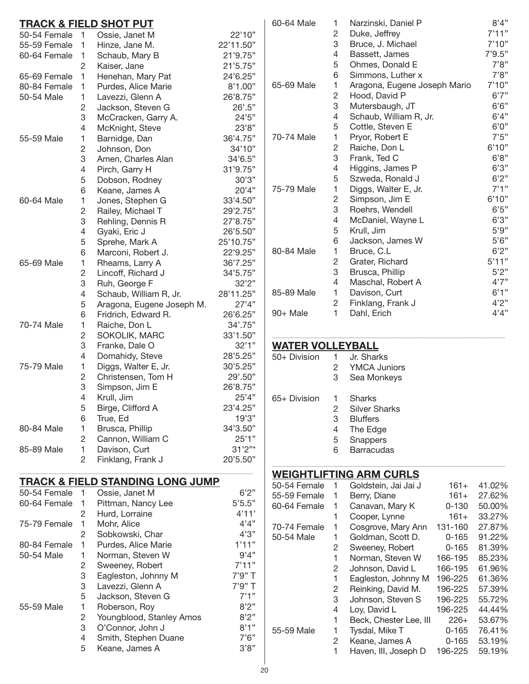| TRACK & FIELD SHOT PUT |                |                                             |                              |  |
|------------------------|----------------|---------------------------------------------|------------------------------|--|
| 50-54 Female           | 1              | Ossie, Janet M                              | 22'10"                       |  |
| 55-59 Female           | 1              | Hinze, Jane M.                              | 22'11.50"                    |  |
| 60-64 Female           | 1              | Schaub, Mary B                              | 21'9.75"                     |  |
|                        | $\overline{c}$ | Kaiser, Jane                                | 21'5.75"                     |  |
| 65-69 Female           | 1              | Henehan, Mary Pat                           | 24'6.25"                     |  |
| 80-84 Female           | 1              | Purdes, Alice Marie                         | 8'1.00"                      |  |
| 50-54 Male             | 1              | Lavezzi, Glenn A                            | 26'8.75"                     |  |
|                        | 2              | Jackson, Steven G                           | $26^{\circ} \cdot 5^{\circ}$ |  |
|                        | 3              | McCracken, Garry A.                         | 24'5"                        |  |
|                        | 4              | McKnight, Steve                             | 23'8"                        |  |
| 55-59 Male             | 1              | Barnidge, Dan                               | 36'4.75"                     |  |
|                        | $\mathbf 2$    | Johnson, Don                                | 34'10"                       |  |
|                        | 3              | Amen, Charles Alan                          | 34'6.5"                      |  |
|                        | 4              | Pirch, Garry H                              | 31'9.75"                     |  |
|                        | 5              | Dobson, Rodney                              | 30'3"                        |  |
|                        | 6              | Keane, James A                              | 20'4"                        |  |
| 60-64 Male             | 1              | Jones, Stephen G                            | 33'4.50"                     |  |
|                        | $\mathbf 2$    | Railey, Michael T                           | 29'2.75"                     |  |
|                        | 3              | Rehling, Dennis R                           | 27'8.75"                     |  |
|                        | 4              | Gyaki, Eric J                               | 26'5.50"                     |  |
|                        | 5              | Sprehe, Mark A                              | 25'10.75"                    |  |
|                        | 6              | Marconi, Robert J.                          | 22'9.25"                     |  |
| 65-69 Male             | 1              | Rheams, Larry A                             | 36'7.25"                     |  |
|                        | $\sqrt{2}$     | Lincoff, Richard J                          | 34'5.75"                     |  |
|                        | 3              | Ruh, George F                               |                              |  |
|                        | 4              |                                             | 32'2"                        |  |
|                        | 5              | Schaub, William R, Jr.                      | 28'11.25"                    |  |
|                        |                | Aragona, Eugene Joseph M.                   | 27'4"                        |  |
|                        | 6              | Fridrich, Edward R.                         | 26'6.25"                     |  |
| 70-74 Male             | 1              | Raiche, Don L                               | 34'.75"                      |  |
|                        | $\overline{c}$ | SOKOLIK, MARC                               | 33'1.50"                     |  |
|                        | 3              | Franke, Dale O                              | 32'1"                        |  |
|                        | 4              | Domahidy, Steve                             | 28'5.25"                     |  |
| 75-79 Male             | 1              | Diggs, Walter E, Jr.                        | 30'5.25"                     |  |
|                        | $\sqrt{2}$     | Christensen, Tom H                          | 29'.50"                      |  |
|                        | 3              | Simpson, Jim E                              | 26'8.75"                     |  |
|                        | 4              | Krull, Jim                                  | 25'4"                        |  |
|                        | 5              | Birge, Clifford A                           | 23'4.25"                     |  |
|                        | 6              | True, Ed                                    | 19'3"                        |  |
| 80-84 Male             | 1              | Brusca, Phillip                             | 34'3.50"                     |  |
|                        | 2              | Cannon, William C                           | 25'1"                        |  |
| 85-89 Male             | 1              | Davison, Curt                               | 31'2"                        |  |
|                        | 2              | Finklang, Frank J                           | 20'5.50"                     |  |
|                        |                | <b>TRACK &amp; FIELD STANDING LONG JUMP</b> |                              |  |
| 50-54 Female           | 1              | Ossie, Janet M                              | 6'2''                        |  |
| 60-64 Female           | 1              | Pittman, Nancy Lee                          | 5'5.5"                       |  |
|                        | 2              | Hurd, Lorraine                              | 4'11'                        |  |
| 75-79 Female           | 1              | Mohr, Alice                                 | 4'4"                         |  |
|                        | 2              | Sobkowski, Char                             | 4'3''                        |  |
| 80-84 Female           | 1              | Purdes, Alice Marie                         | 1'11"                        |  |
| 50-54 Male             | 1              | Norman, Steven W                            | 9'4"                         |  |
|                        | $\mathbf{2}$   | Sweeney, Robert                             | 7'11"                        |  |
|                        | 3              | Eagleston, Johnny M                         | 7'9" T                       |  |
|                        | 3              | Lavezzi, Glenn A                            | 7'9" T                       |  |
|                        | 5              | Jackson, Steven G                           | 7'1"                         |  |
| 55-59 Male             | 1              |                                             | 8'2"                         |  |
|                        | $\mathbf{2}$   | Roberson, Roy                               | 8'2"                         |  |
|                        | 3              | Youngblood, Stanley Amos                    | 8'1"                         |  |
|                        |                | O'Connor, John J                            |                              |  |
|                        | 4              | Smith, Stephen Duane                        | 7'6''                        |  |
|                        | 5              | Keane, James A                              | 3'8"                         |  |

| 60-64 Male | 1              | Narzinski, Daniel P          | 8'4"   |
|------------|----------------|------------------------------|--------|
|            | $\overline{c}$ | Duke, Jeffrey                | 7'11"  |
|            | 3              | Bruce, J. Michael            | 7'10"  |
|            | 4              | Bassett, James               | 7'9.5" |
|            | 5              | Ohmes, Donald E              | 7'8"   |
|            | 6              | Simmons, Luther x            | 7'8''  |
| 65-69 Male | 1              | Aragona, Eugene Joseph Mario | 7'10"  |
|            | 2              | Hood, David P                | 6'7''  |
|            | 3              | Mutersbaugh, JT              | 6'6''  |
|            | 4              | Schaub, William R, Jr.       | 6'4"   |
|            | 5              | Cottle, Steven E             | 6'0''  |
| 70-74 Male | 1              | Pryor, Robert E              | 7'5''  |
|            | $\overline{c}$ | Raiche, Don L                | 6'10"  |
|            | 3              | Frank, Ted C                 | 6'8"   |
|            | 4              | Higgins, James P             | 6'3"   |
|            | 5              | Szweda, Ronald J             | 6'2''  |
| 75-79 Male | 1              | Diggs, Walter E, Jr.         | 7'1''  |
|            | 2              | Simpson, Jim E               | 6'10"  |
|            | 3              | Roehrs, Wendell              | 6'5''  |
|            | 4              | McDaniel, Wayne L            | 6'3''  |
|            | 5              | Krull, Jim                   | 5'9''  |
|            | 6              | Jackson, James W             | 5'6''  |
| 80-84 Male | 1              | Bruce, C.L                   | 6'2"   |
|            | 2              | Grater, Richard              | 5'11"  |
|            | 3              | Brusca, Phillip              | 5'2"   |
|            | 4              | Maschal, Robert A            | 4'7''  |
| 85-89 Male | 1              | Davison, Curt                | 6'1"   |
|            | $\overline{c}$ | Finklang, Frank J            | 4'2''  |
| 90+ Male   | 1              | Dahl, Erich                  | 4'4"   |

#### <u>WATER VOLLEYI</u>

| 50+ Division | 1<br>2<br>3                | Jr. Sharks<br><b>YMCA Juniors</b><br>Sea Monkeys                                                      |
|--------------|----------------------------|-------------------------------------------------------------------------------------------------------|
| 65+ Division | 1<br>2<br>3<br>4<br>5<br>6 | <b>Sharks</b><br><b>Silver Sharks</b><br><b>Bluffers</b><br>The Edge<br>Snappers<br><b>Barracudas</b> |

# **Weightlifting Arm Curls**

| ,,,,,,,,,,,, |   | U IIVI VU ILU          |           |        |
|--------------|---|------------------------|-----------|--------|
| 50-54 Female | 1 | Goldstein, Jai Jai J   | 161+      | 41.02% |
| 55-59 Female | 1 | Berry, Diane           | $161+$    | 27.62% |
| 60-64 Female | 1 | Canavan, Mary K        | $0 - 130$ | 50.00% |
|              | 1 | Cooper, Lynne          | $161+$    | 33.27% |
| 70-74 Female | 1 | Cosgrove, Mary Ann     | 131-160   | 27.87% |
| 50-54 Male   | 1 | Goldman, Scott D.      | $0 - 165$ | 91.22% |
|              | 2 | Sweeney, Robert        | $0 - 165$ | 81.39% |
|              | 1 | Norman, Steven W       | 166-195   | 85.23% |
|              | 2 | Johnson, David L       | 166-195   | 61.96% |
|              | 1 | Eagleston, Johnny M    | 196-225   | 61.36% |
|              | 2 | Reinking, David M.     | 196-225   | 57.39% |
|              | 3 | Johnson, Steven S      | 196-225   | 55.72% |
|              | 4 | Loy, David L           | 196-225   | 44.44% |
|              | 1 | Beck, Chester Lee, III | $226+$    | 53.67% |
| 55-59 Male   | 1 | Tysdal, Mike T         | $0 - 165$ | 76.41% |
|              | 2 | Keane, James A         | $0 - 165$ | 53.19% |
|              | 1 | Haven, III, Joseph D   | 196-225   | 59.19% |
|              |   |                        |           |        |